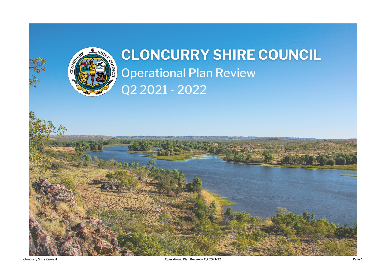

## CLONCURRY SHIRE COUNCIL **Operational Plan Review** Q2 2021 - 2022



 $\sum_{i=1}^n \sum_{j=1}^n \mathcal{P}_{j-1}(\mathbf{x}_i) = \sum_{i=1}^n \mathcal{P}_{j-1}(\mathbf{x}_i)$ 

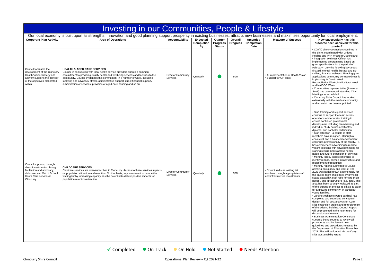|                                                                                                                                                                    | Investing in our Communities, People & Lifestyle                                                                                                                                                                                                                                                                                                                                                                                                       |                                       |                                            |                                             |                            |                                             |                                                                                                        |                                                                                                                                                                                                                                                                                                                                                                                                                                                                                                                                                                                                                                                                                                                                                                                                                                                                                                                                                                                                                                                                                                                                                                                                                                                                                                                                                                                                                                                                                                                                                                                                                                                                                                                                                   |
|--------------------------------------------------------------------------------------------------------------------------------------------------------------------|--------------------------------------------------------------------------------------------------------------------------------------------------------------------------------------------------------------------------------------------------------------------------------------------------------------------------------------------------------------------------------------------------------------------------------------------------------|---------------------------------------|--------------------------------------------|---------------------------------------------|----------------------------|---------------------------------------------|--------------------------------------------------------------------------------------------------------|---------------------------------------------------------------------------------------------------------------------------------------------------------------------------------------------------------------------------------------------------------------------------------------------------------------------------------------------------------------------------------------------------------------------------------------------------------------------------------------------------------------------------------------------------------------------------------------------------------------------------------------------------------------------------------------------------------------------------------------------------------------------------------------------------------------------------------------------------------------------------------------------------------------------------------------------------------------------------------------------------------------------------------------------------------------------------------------------------------------------------------------------------------------------------------------------------------------------------------------------------------------------------------------------------------------------------------------------------------------------------------------------------------------------------------------------------------------------------------------------------------------------------------------------------------------------------------------------------------------------------------------------------------------------------------------------------------------------------------------------------|
|                                                                                                                                                                    | Our local economy is built upon its strengths. Innovation and good planning support prosperity in existing businesses, attracts new businesses and maximises opportunity for local employment.                                                                                                                                                                                                                                                         |                                       |                                            |                                             |                            |                                             |                                                                                                        |                                                                                                                                                                                                                                                                                                                                                                                                                                                                                                                                                                                                                                                                                                                                                                                                                                                                                                                                                                                                                                                                                                                                                                                                                                                                                                                                                                                                                                                                                                                                                                                                                                                                                                                                                   |
| <b>Corporate Plan Activity</b>                                                                                                                                     | <b>Area of Operations</b>                                                                                                                                                                                                                                                                                                                                                                                                                              | <b>Accountability</b>                 | <b>Expected</b><br><b>Completion</b><br>Bv | Quarter<br><b>Progress</b><br><b>Status</b> | Overall<br><b>Progress</b> | Amended<br><b>Completion</b><br><b>Date</b> | <b>Measure of Success</b>                                                                              | How successfully has this<br>outcome been achieved for this<br>quarter?                                                                                                                                                                                                                                                                                                                                                                                                                                                                                                                                                                                                                                                                                                                                                                                                                                                                                                                                                                                                                                                                                                                                                                                                                                                                                                                                                                                                                                                                                                                                                                                                                                                                           |
| Council facilitates the<br>development of the Cloncurry<br>Health Vision strategy and<br>actively supports the delivery<br>of the objectives elaborated<br>within. | <b>HEALTH &amp; AGED CARE SERVICES</b><br>Council in conjunction with local health service providers shares a common<br>commitment to providing quality health and wellbeing services and facilities to the<br>community. Council evidences this commitment in a number of ways, including<br>lobbying and advocacy efforts, administrative support, direct financial support,<br>subsidisation of services, provision of aged-care housing and so on. | <b>Director Community</b><br>Services | Quarterly                                  |                                             | 50%                        |                                             | • % implementation of Health Vision.<br>· Support for GP clinic.                                       | • COVID clinic vaccinations continue in<br>the Shire, coordinated with Gidgee<br>Healing and PHN Western Queensland<br>• Integration Wellness Officer has<br>implemented programming based on<br>grant specifications for the period of<br>February - July the following key areas:<br>first aid, mental health, literacy and up-<br>skilling, financial wellness. Pending gra<br>applications community connectedness<br>in planning for Youth Week,<br>Reconciliation Week, Multicultural Weel<br>and NAIDOC Week.<br>• Communities representative (Amanda<br>Seek) has commenced attending CAN<br>Meetings as scheduled.<br>• Cloncurry Shire Council has worked<br>extensively with the medical community<br>and a dentist has been appointed.                                                                                                                                                                                                                                                                                                                                                                                                                                                                                                                                                                                                                                                                                                                                                                                                                                                                                                                                                                                                |
| Council supports, through<br>direct investment or through<br>facilitation and advocacy,<br>childcare, and Out of School<br>Hours Care services in<br>Cloncurry.    | <b>CHILDCARE SERVICES</b><br>Childcare services are over-subscribed in Cloncurry. Access to these services impacts<br>on population attraction and retention. On that basis, any investment to reduce the<br>waiting list by increasing capacity has the potential to deliver positive impacts for<br>population retention/attraction.                                                                                                                 | <b>Director Community</b><br>Services | Quarterly                                  |                                             | 50%                        |                                             | • Council reduces waiting list<br>numbers through appropriate staff<br>and infrastructure investments. | • Staff training and support services<br>continue to support the team across<br>operations and educator training to<br>ensure continued professional<br>development including team training an<br>individual study across certificates,<br>diploma, and bachelor certification.<br>• Staff retention - a couple of staff<br>members have resigned, although a<br>consistent and a balanced environment<br>continues professionally at the facility. I<br>has commenced advertising to replace<br>vacant positions with forward thinking fo<br>staffing requirements across needs,<br>ratios, and future expansion of services<br>• Monthly facility audits continuing to<br>identify repairs, service infrastructure ar<br>replacement of resources.<br>• Monthly reports submitted to Council<br>advising occupancy and waitlist. The<br>2022 waitlist has grown exponentially fo<br>the babies room challenged by physical<br>space capability, staff ratio for care (hig<br>needs), and infrastructure (e.g. cots). Tl<br>area has been strongly reviewed as par<br>of the expansion project as critical to ca<br>for a growing community, in particular<br>young families.<br>• Jardine Architects (Greg Jardine) has<br>completed and submitted conceptual<br>design and full cost analysis for Curry<br>Kids expansion project and refurbishme<br>of the existing building. Council Report<br>will be presented in the near future for<br>discussion and review.<br>• Business Administration Consultant<br>currently being sourced to review all<br>procedures and implement new<br>guidelines and procedures released by<br>the Department of Education November<br>2021. This will be funded via the Curry<br>Kids Sustainability Grant. |
|                                                                                                                                                                    | $\checkmark$ Completed<br>• On Track                                                                                                                                                                                                                                                                                                                                                                                                                   | On Hold                               |                                            | • Not Started                               |                            | • Needs Attention                           |                                                                                                        |                                                                                                                                                                                                                                                                                                                                                                                                                                                                                                                                                                                                                                                                                                                                                                                                                                                                                                                                                                                                                                                                                                                                                                                                                                                                                                                                                                                                                                                                                                                                                                                                                                                                                                                                                   |

| y I <del>U</del>                                                                     |                                                                                                                                                                                                                                                                                                                                                                                                                                                                                                                                                                                                                                                                                                                                                                                                                                                                                                                                                                                                                                                                                                                                                                                                                                                                                                                                                                                                                                                                                                                                                                                                                                                                                                                                                                  |
|--------------------------------------------------------------------------------------|------------------------------------------------------------------------------------------------------------------------------------------------------------------------------------------------------------------------------------------------------------------------------------------------------------------------------------------------------------------------------------------------------------------------------------------------------------------------------------------------------------------------------------------------------------------------------------------------------------------------------------------------------------------------------------------------------------------------------------------------------------------------------------------------------------------------------------------------------------------------------------------------------------------------------------------------------------------------------------------------------------------------------------------------------------------------------------------------------------------------------------------------------------------------------------------------------------------------------------------------------------------------------------------------------------------------------------------------------------------------------------------------------------------------------------------------------------------------------------------------------------------------------------------------------------------------------------------------------------------------------------------------------------------------------------------------------------------------------------------------------------------|
|                                                                                      | and maximises opportunity for local employment.                                                                                                                                                                                                                                                                                                                                                                                                                                                                                                                                                                                                                                                                                                                                                                                                                                                                                                                                                                                                                                                                                                                                                                                                                                                                                                                                                                                                                                                                                                                                                                                                                                                                                                                  |
| <b>Measure of Success</b>                                                            | How successfully has this<br>outcome been achieved for this<br>quarter?                                                                                                                                                                                                                                                                                                                                                                                                                                                                                                                                                                                                                                                                                                                                                                                                                                                                                                                                                                                                                                                                                                                                                                                                                                                                                                                                                                                                                                                                                                                                                                                                                                                                                          |
| plementation of Health Vision.<br>ort for GP clinic.                                 | • COVID clinic vaccinations continue in<br>the Shire, coordinated with Gidgee<br>Healing and PHN Western Queensland<br>• Integration Wellness Officer has<br>implemented programming based on<br>grant specifications for the period of<br>February - July the following key areas:<br>first aid, mental health, literacy and up-<br>skilling, financial wellness. Pending grant<br>applications community connectedness is<br>in planning for Youth Week,<br>Reconciliation Week, Multicultural Week<br>and NAIDOC Week.<br>• Communities representative (Amanda<br>Seek) has commenced attending CAN<br>Meetings as scheduled.<br>• Cloncurry Shire Council has worked<br>extensively with the medical community<br>and a dentist has been appointed.                                                                                                                                                                                                                                                                                                                                                                                                                                                                                                                                                                                                                                                                                                                                                                                                                                                                                                                                                                                                          |
| cil reduces waiting list<br>rs through appropriate staff<br>rastructure investments. | • Staff training and support services<br>continue to support the team across<br>operations and educator training to<br>ensure continued professional<br>development including team training and<br>individual study across certificates,<br>diploma, and bachelor certification.<br>· Staff retention - a couple of staff<br>members have resigned, although a<br>consistent and a balanced environment<br>continues professionally at the facility. HR<br>has commenced advertising to replace<br>vacant positions with forward thinking for<br>staffing requirements across needs,<br>ratios, and future expansion of services.<br>• Monthly facility audits continuing to<br>identify repairs, service infrastructure and<br>replacement of resources.<br>• Monthly reports submitted to Council<br>advising occupancy and waitlist. The<br>2022 waitlist has grown exponentially for<br>the babies room challenged by physical<br>space capability, staff ratio for care (high<br>needs), and infrastructure (e.g. cots). This<br>area has been strongly reviewed as part<br>of the expansion project as critical to cater<br>for a growing community, in particular<br>young families.<br>• Jardine Architects (Greg Jardine) has<br>completed and submitted conceptual<br>design and full cost analysis for Curry<br>Kids expansion project and refurbishment<br>of the existing building. Council Report<br>will be presented in the near future for<br>discussion and review.<br>• Business Administration Consultant<br>currently being sourced to review all<br>procedures and implement new<br>guidelines and procedures released by<br>the Department of Education November<br>2021. This will be funded via the Curry<br>Kids Sustainability Grant. |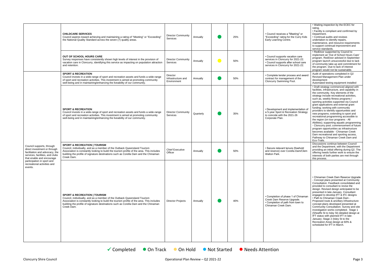|                                                                                                                                                                                                                                     | <b>CHILDCARE SERVICES</b><br>Council aspires toward achieving and maintaining a rating of "Meeting" or "Exceeding"<br>the National Quality Standard across the seven (7) quality areas.                                                                                                                               | <b>Director Community</b><br>Services         | Annually  | 25% | • Council receives a "Meeting" or<br>"Exceeding" rating for the Curry Kids<br>Early Learning Centre.                                                 | • Waiting inspection by the ECEC for<br>rating.<br>• Facility is compliant and confirmed by<br>Department.<br>• Continual audits and reviews<br>undertaken to identify repairs,<br>maintenance, and resource requirements<br>to support continual improvement and<br>service standards.                                                                                                                                                                                                                                                                                                                                                                                                                                                                                               |
|-------------------------------------------------------------------------------------------------------------------------------------------------------------------------------------------------------------------------------------|-----------------------------------------------------------------------------------------------------------------------------------------------------------------------------------------------------------------------------------------------------------------------------------------------------------------------|-----------------------------------------------|-----------|-----|------------------------------------------------------------------------------------------------------------------------------------------------------|---------------------------------------------------------------------------------------------------------------------------------------------------------------------------------------------------------------------------------------------------------------------------------------------------------------------------------------------------------------------------------------------------------------------------------------------------------------------------------------------------------------------------------------------------------------------------------------------------------------------------------------------------------------------------------------------------------------------------------------------------------------------------------------|
|                                                                                                                                                                                                                                     | OUT OF SCHOOL HOURS CARE<br>Survey responses have consistently shown high levels of interest in the provision of<br>vacation care in Cloncurry, identifying this service as impacting on population attraction<br>and retention.                                                                                      | <b>Director Community</b><br>Services         | Annually  | 50% | • Council supports vacation care<br>services in Cloncurry for 2021-22.<br>• Council supports after school care<br>services in Cloncurry for 2021-22. | • RedDoor supported by Council to<br>implement an 'Out of School Hours Care'<br>program. RedDoor advised in September<br>program launch unsuccessful due to lack<br>of community take-up and commitment for<br>the program. Due to lack of interest<br>program would not be sustainable.                                                                                                                                                                                                                                                                                                                                                                                                                                                                                              |
|                                                                                                                                                                                                                                     | <b>SPORT &amp; RECREATION</b><br>Council invests in a wide-range of sport and recreation assets and funds a wide-range<br>of sport and recreation activities. This investment is aimed at promoting community<br>well-being and in maintaining/enhancing the liveability of our community.                            | Director<br>Infrastructure and<br>Environment | Annually  | 50% | • Complete tender process and award<br>contract for management of the<br>Cloncurry Swimming Pool.                                                    | Audit of operations completed in Q2<br>Revised Management Plan under<br>development<br>Automated testing equipment installed                                                                                                                                                                                                                                                                                                                                                                                                                                                                                                                                                                                                                                                          |
| Council supports, through<br>direct investment or through<br>facilitation and advocacy, the<br>services, facilities, and clubs<br>that enable and encourage<br>participation in sport and<br>recreational activities and<br>events. | <b>SPORT &amp; RECREATION</b><br>Council invests in a wide-range of sport and recreation assets and funds a wide-range<br>of sport and recreation activities. This investment is aimed at promoting community<br>well-being and in maintaining/enhancing the liveability of our community.                            | <b>Director Community</b><br>Services         | Quarterly | 35% | • Development and implementation of<br>a 5-year Sport & Recreation Strategy<br>to coincide with the 2021-26<br>Corporate Plan.                       | • Draft strategy commenced aligned with<br>facilities, infrastructure, and capability in<br>the community. Key elements of the<br>strategy include recreational activities,<br>such as, weekly fitness programs /<br>sporting activities supported via Council<br>grant applications and external grant<br>funding; working with community<br>providers to identify opportunities and<br>new programs; extending to sport and<br>recreational programming accessible to<br>the region (on tour programs - All<br>Abilities); supporting aquatic programming<br>- Cloncurry pool; commencement of future<br>program opportunities as infrastructure<br>becomes available - Chinaman Creek<br>Dam recreational and sporting access,<br>Pathway to Chinaman Creek Dam and<br>Eco-Trails. |
|                                                                                                                                                                                                                                     | <b>SPORT &amp; RECREATION   TOURISM</b><br>Council, individually, and as a member of the Outback Queensland Tourism<br>Association is constantly looking to build the tourism profile of the area. This includes<br>building the profile of signature destinations such as Corella Dam and the Chinaman<br>Creek Dam. | <b>Chief Executive</b><br>Officer             | Annually  | 50% | • Secure relevant tenure (freehold<br>and reserve) over Corella Dam/Clem<br>Walton Park.                                                             | Discussions continue between Council<br>and the Department, with the Department<br>providing an initial offering during Q2. The<br>offering needs further work to ensure the<br>interests of both parties are met through<br>this process.                                                                                                                                                                                                                                                                                                                                                                                                                                                                                                                                            |
|                                                                                                                                                                                                                                     | <b>SPORT &amp; RECREATION   TOURISM</b><br>Council, individually, and as a member of the Outback Queensland Tourism<br>Association is constantly looking to build the tourism profile of the area. This includes<br>building the profile of signature destinations such as Corella Dam and the Chinaman<br>Creek Dam. | <b>Director Projects</b>                      | Annually  | 40% | • Completion of phase 1 of Chinaman<br>Creek Dam Reserve Upgrade.<br>• Completion of path from town to<br>Chinaman Creek Dam.                        | • Chinaman Creek Dam Reserve Upgrade<br>- Concept plans presented at Community<br>Consultation. Feedback consolidated and<br>provided to consultant to revise the<br>design. Revised design anticipated to be<br>presented in late-January. Consultant<br>engaged to develop IFT & IFC designs<br>• Path to Chinaman Creek Dam -<br>Proposed route & ancillary infrastructure<br>concept plans developed presented at<br>Community Consultation. Survey and site<br>investigation works completed. Stage 1<br>(Sheaffe St to Isley St) detailed design at<br>IFT status with planned IFT in late-<br>January; Stage 2 (Isley St to the<br>Recreation Area) design at 60% &<br>scheduled for IFT in March.                                                                             |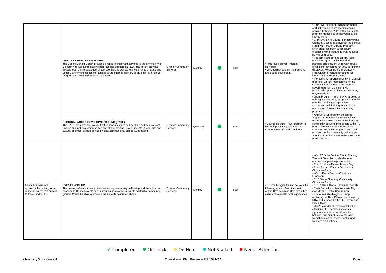|                                                                                                              | <b>LIBRARY SERVICES &amp; GALLERY</b><br>The Bob McDonald Library provides a range of important services to the community of<br>Cloncurry as well as to those visitors passing through the town. The library provides<br>access to an online catalogue of 300,000 titles as well as to a wide range of State and<br>Local Government collections, access to the internet, delivery of the First Five Forever<br>program and other initiatives and activities. | Director Community<br>Services        | Monthly   | 50% | • First Five Forever Program<br>delivered.<br>• Longitudinal data on membership<br>and usage developed.                                                     | • First Five Forever program scheduled<br>and delivered weekly, recommencing<br>again in February 2022 with a six-month<br>program mapped to be delivered by the<br>Library team.<br>• Cloncurry Shire Council partnering with<br>Cloncurry Justice to deliver an Indigenous<br>First Five Forever Cultural Program -<br>\$44k grant has been successfully<br>extended with program delivery required<br>by mid-year 2022.<br>• Tourism Manager and Library team<br>Gallery Program implemented with<br>planning and delivery underway for 2 x<br>exhibitions scheduled for 2022 (6-months<br>displays showcasing life in Cloncurry.<br>First Gallery program scheduled for<br>launch end of February 2022.<br>• Membership reported monthly in Council<br>reporting. Library membership for the<br>community and wider-region tourists<br>travelling remain consistent with<br>resourced support with the State Library<br>of Queensland.<br>• Grant Program - Tech Savvy targeted at<br>training library staff to support community<br>members with digital application<br>successful, with training to start in the<br>next quarter followed by community<br>programs. |
|--------------------------------------------------------------------------------------------------------------|---------------------------------------------------------------------------------------------------------------------------------------------------------------------------------------------------------------------------------------------------------------------------------------------------------------------------------------------------------------------------------------------------------------------------------------------------------------|---------------------------------------|-----------|-----|-------------------------------------------------------------------------------------------------------------------------------------------------------------|---------------------------------------------------------------------------------------------------------------------------------------------------------------------------------------------------------------------------------------------------------------------------------------------------------------------------------------------------------------------------------------------------------------------------------------------------------------------------------------------------------------------------------------------------------------------------------------------------------------------------------------------------------------------------------------------------------------------------------------------------------------------------------------------------------------------------------------------------------------------------------------------------------------------------------------------------------------------------------------------------------------------------------------------------------------------------------------------------------------------------------------------------------------------------|
|                                                                                                              | <b>REGIONAL ARTS &amp; DEVELOPMENT FUND (RADF)</b><br>The RADF promotes the role and value of arts, culture and heritage as key drivers of<br>diverse and inclusive communities and strong regions. RADF invests in local arts and<br>cultural priorities, as determined by local communities, across Queensland.                                                                                                                                             | <b>Director Community</b><br>Services | Quarterly | 50% | • Council delivers RADF program in<br>line with program guidelines and<br>Committee terms and conditions.                                                   | • ArTour RADF program presented<br>'Bigger and Blacker' by Steven Oliver.<br>Performance sold out with the Cloncurry<br>community securing their tickets within 72<br>hours of release to attend the show.<br>• Queensland Ballet Regional Tour well<br>received by the community with classes<br>attended from beginners ballet through to<br>adult classes.                                                                                                                                                                                                                                                                                                                                                                                                                                                                                                                                                                                                                                                                                                                                                                                                             |
| Council delivers and<br>sponsors the delivery of a<br>range of events that appeal<br>to locals and visitors. | <b>EVENTS - COUNCIL</b><br>The delivery of events has a direct impact on community well-being and liveability. In<br>sponsoring Council events and in granting assistance to events hosted by community<br>groups, Council is able to promote the benefits described above.                                                                                                                                                                                   | <b>Director Community</b><br>Services | Monthly   | 50% | • Council budgets for and delivers the<br>following events: Beat the Heat,<br>Anzac Day, Australia Day, and other<br>events of National/Local significance. | • Wed 27 Oct – Seniors Month Morning<br>Tea and Stuart McIntosh Memorial<br>Garden Competition presentations<br>• Thur 11 Nov – Remembrance Day<br>• Tue 16 Nov - Dajarra Community<br>Christmas Party<br>• Wed 1 Dec - Seniors Christmas<br>Luncheon<br>• Fri 3 Dec - Cloncurry Community<br><b>Christmas Party</b><br>• Fri 3 & Sat 4 Dec - Christmas markets<br>• Early Dec - Launch of Australia Day<br>Awards and Poetry Competition<br>• There was also Regions Rising<br>(external) on Thur 25 Nov coordinated by<br>RDA and support by the CSC event and<br>venue team.<br>• 2022 Calendar of Events established<br>capturing CSC community events,<br>signature events, external event -<br>hallmark and signature events, plus<br>workshops, conferences, health, and<br>wellness applications                                                                                                                                                                                                                                                                                                                                                                  |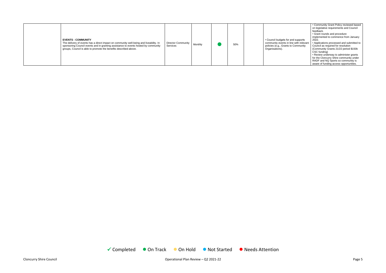

Cloncurry Shire Council **Council** Cloncurry Shire Council Plan Review – Q2 2021-22 Page 5

|  | <b>EVENTS - COMMUNITY</b><br>The delivery of events has a direct impact on community well-being and liveability. In<br>sponsoring Council events and in granting assistance to events hosted by community<br>groups, Council is able to promote the benefits described above. | Director Community<br><b>Services</b> | Monthly |  | 50% | • Council budgets for and supports<br>community events in line with relevant<br>policies (e.g., Grants to Community<br>Organisations). | • Community Grant Policy reviewed based<br>on legislative requirements and Council<br>feedback<br>• Grant rounds and procedure<br>implemented to commence from January<br>2022.<br>• Applications processed and submitted to<br>Council as required for resolution<br>(Community Grants 21/22 period \$150k)<br>CSC funding)<br>• Review underway to administer grants<br>for the Cloncurry Shire community under<br>RADF and NQ Sports so community is<br>aware of funding access opportunities. |
|--|-------------------------------------------------------------------------------------------------------------------------------------------------------------------------------------------------------------------------------------------------------------------------------|---------------------------------------|---------|--|-----|----------------------------------------------------------------------------------------------------------------------------------------|---------------------------------------------------------------------------------------------------------------------------------------------------------------------------------------------------------------------------------------------------------------------------------------------------------------------------------------------------------------------------------------------------------------------------------------------------------------------------------------------------|
|--|-------------------------------------------------------------------------------------------------------------------------------------------------------------------------------------------------------------------------------------------------------------------------------|---------------------------------------|---------|--|-----|----------------------------------------------------------------------------------------------------------------------------------------|---------------------------------------------------------------------------------------------------------------------------------------------------------------------------------------------------------------------------------------------------------------------------------------------------------------------------------------------------------------------------------------------------------------------------------------------------------------------------------------------------|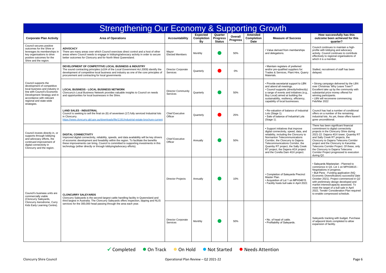|                                                                                                                                                                                                                                                                                                                                                                                                                                                                                                                                                          | <b>Strengthening Our Economy &amp; Supporting Growth</b>                                                                                                                                                                                                                                                                                                                            |                                       |                                            |                                             |                            |                                             |                                                                                                                                                                                                                                                                                                                                                    |                                                                                                                                                                                                                                                                                                                                                                                                                                                     |
|----------------------------------------------------------------------------------------------------------------------------------------------------------------------------------------------------------------------------------------------------------------------------------------------------------------------------------------------------------------------------------------------------------------------------------------------------------------------------------------------------------------------------------------------------------|-------------------------------------------------------------------------------------------------------------------------------------------------------------------------------------------------------------------------------------------------------------------------------------------------------------------------------------------------------------------------------------|---------------------------------------|--------------------------------------------|---------------------------------------------|----------------------------|---------------------------------------------|----------------------------------------------------------------------------------------------------------------------------------------------------------------------------------------------------------------------------------------------------------------------------------------------------------------------------------------------------|-----------------------------------------------------------------------------------------------------------------------------------------------------------------------------------------------------------------------------------------------------------------------------------------------------------------------------------------------------------------------------------------------------------------------------------------------------|
| <b>Corporate Plan Activity</b>                                                                                                                                                                                                                                                                                                                                                                                                                                                                                                                           | <b>Area of Operations</b>                                                                                                                                                                                                                                                                                                                                                           | <b>Accountability</b>                 | <b>Expected</b><br><b>Completion</b><br>Bv | Quarter<br><b>Progress</b><br><b>Status</b> | Overall<br><b>Progress</b> | Amended<br><b>Completion</b><br><b>Date</b> | <b>Measure of Success</b>                                                                                                                                                                                                                                                                                                                          | How successfully has this<br>outcome been achieved for this<br>quarter?                                                                                                                                                                                                                                                                                                                                                                             |
| Council secures positive<br>outcomes for the Shire or<br>leverages its memberships in<br>key organisations to drive<br>positive outcomes for the<br>Shire and the region.                                                                                                                                                                                                                                                                                                                                                                                | <b>ADVOCACY</b><br>There are many areas over which Council exercises direct control and a host of other<br>areas where Council needs to engage in lobbying/advocacy activity in order to secure<br>better outcomes for Cloncurry and for North West Queensland.                                                                                                                     | Mayor<br><b>Elected Members</b>       | Monthly                                    |                                             | 50%                        |                                             | • Value derived from memberships<br>and delegations.                                                                                                                                                                                                                                                                                               | Council continues to maintain a high-<br>profile with lobbying and advocacy<br>activity. Council continues to contribute<br>effectively to regional organisations of<br>which it is a member.                                                                                                                                                                                                                                                       |
|                                                                                                                                                                                                                                                                                                                                                                                                                                                                                                                                                          | DEVELOPMENT OF COMPETITIVE LOCAL BUSINESS & INDUSTRY<br>The sound contracting principles (s104 of the Local Government Act 2009) identify the<br>development of competitive local business and industry as one of the core principles of<br>procurement and contracting for local governments                                                                                       | <b>Director Corporate</b><br>Services | Quarterly                                  |                                             | 0%                         |                                             | • Maintain registers of preferred<br>and/or pre-qualified suppliers for:<br>Trades & Services, Plant Hire, Quarry<br>Materials.                                                                                                                                                                                                                    | Stalled, recruitment of staff has been<br>delayed.                                                                                                                                                                                                                                                                                                                                                                                                  |
| Council supports the<br>development of competitive<br>local business and industry in<br>line with Council's Economic<br>Development Strategy and in<br>accordance with relevant<br>regional and state-wide<br>strategies.<br>Council invests directly in, or<br>supports through lobbying<br>and advocacy efforts, the<br>continued improvement of<br>digital connectivity in<br>Cloncurry and the region.<br>Council's business units are<br>commercially viable<br>(Cloncurry Saleyards,<br>Cloncurry Aerodrome, Curry<br>Kids Early Learning Centre). | <b>LOCAL BUSINESS - LOCAL BUSINESS NETWORK</b><br>Cloncurry's Local Business Network provides valuable insights to Council on needs<br>and opportunities for local businesses in the Shire.                                                                                                                                                                                         | <b>Director Community</b><br>Services | Quarterly                                  |                                             | 50%                        |                                             | • Provide secretarial support to LBN<br>and attend all meetings.<br>• Council supports (directly/indirectly)<br>a range of events and initiatives (e.g.,<br>Buy Local) aimed at building the<br>sustainability, resiliency, efficiency,<br>capability of local businesses.                                                                         | • Strong campaign delivered by the LBN<br>over Christmas 'Why Leave Town?'<br>Excellent take up by the community with<br>substantial prize money offered for<br>winning participants.<br>• LBN will reconvene commencing<br>Feb/Mar 2022                                                                                                                                                                                                            |
|                                                                                                                                                                                                                                                                                                                                                                                                                                                                                                                                                          | <b>LAND SALES - INDUSTRIAL</b><br>Council is seeking to sell the final six (6) of seventeen (17) fully serviced Industrial lots<br>in Cloncurry.<br>https://www.cloncurry.qld.gov.au/downloads/file/1191/industrial-estate-brochure-current                                                                                                                                         | <b>Chief Executive</b><br>Officer     | Quarterly                                  |                                             | 25%                        |                                             | • Re-valuation of balance of Industrial<br>Lots (Stage 1).<br>· Sale of balance of Industrial Lots<br>(Stage 1).                                                                                                                                                                                                                                   | Council has had a number of conditional<br>offers on a number of the remaining<br>industrial lots. As yet, these offers haven't<br>gone unconditional.                                                                                                                                                                                                                                                                                              |
|                                                                                                                                                                                                                                                                                                                                                                                                                                                                                                                                                          | <b>DIGITAL CONNECTIVITY</b><br>Improved digital connectivity, reliability, speeds, and data availability will be key drivers<br>of economic development and liveability within the region. To facilitate the benefits<br>these improvements can bring, Council is committed to supporting investments in this<br>technology (either directly or through lobbying/advocacy efforts). | <b>Chief Executive</b><br>Officer     | Annually                                   |                                             | 50%                        |                                             | • Support initiatives that improve<br>digital connectivity, speed, data, and<br>reliability, including the Cloncurry to<br>Normanton Telecommunications<br>Corridor, the Cloncurry to Dajarra<br>Telecommunications Corridor, the<br>Quamby RT project, the Sally Creek<br>RT project, the Dajarra 4GX project<br>and the Corella Dam 4GX project. | There has been significant financial<br>commitment to digital connectivity<br>projects in the Cloncurry Shire during<br>2021-22: Dajarra 4GX tower, Quamby RT<br>and Sally Creek RT projects, the<br>Cloncurry to Dajarra Telecoms Corridor<br>project and the Cloncurry to Karumba<br>Telecoms Corridor Project. Of these, only<br>the Cloncurry to Dajarra Telecoms<br>Corridor Project progressed to execution<br>during Q2.                     |
|                                                                                                                                                                                                                                                                                                                                                                                                                                                                                                                                                          | <b>CLONCURRY SALEYARDS</b><br>Cloncurry Saleyards is the second-largest cattle handling facility in Queensland and<br>third largest in Australia. The Cloncurry Saleyards offers inspection, dipping and NLIS<br>services for the 300,000 head passing through the area each year.                                                                                                  | <b>Director Projects</b>              | Annually                                   |                                             | 10%                        |                                             | • Completion of Saleyards Precinct<br>Master Plan.<br>• Acquisition of Lot 1 on MPH34615.<br>• Facility hosts bull sale in April 2022.                                                                                                                                                                                                             | • Saleyards Masterplan - Planned to<br>commence in Q3. Lot 1 on MPH34615 -<br>Negotiations in progress.<br>• Bull Pens - Funding application (NQ<br>Economic Diversification) successful (late<br>October 2021). Project commenced in Q2<br>with preliminary design developed and<br>market interest/capacity assessed. To<br>meet the target of a bull sale in April<br>2022, Tender Consideration Plan required<br>to enable compressed schedule. |
|                                                                                                                                                                                                                                                                                                                                                                                                                                                                                                                                                          |                                                                                                                                                                                                                                                                                                                                                                                     | <b>Director Corporate</b><br>Services | Monthly                                    |                                             | 50%                        |                                             | . No. of head of cattle.<br>• Profitability of Saleyards.                                                                                                                                                                                                                                                                                          | Saleyards tracking with budget. Purchase<br>of adjacent block completed to allow<br>expansion of facility.                                                                                                                                                                                                                                                                                                                                          |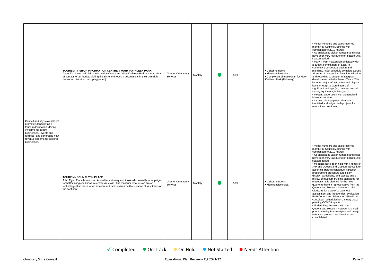| Council and key stakeholders<br>promote Cloncurry as a                                                                                                         | TOURISM - VISITOR INFORMATION CENTRE & MARY KATHLEEN PARK<br>Council's Unearthed Visitor Information Centre and Mary Kathleen Park are key points<br>of contact for all tourists visiting the Shire and tourism destinations in their own right<br>(museum, historical park, playground).                              | <b>Director Community</b><br>Services | Monthly | 50% | • Visitor numbers<br>• Merchandise sales<br>• Completion of masterplan for Mary<br>Kathleen Park (February) | • Visitor numbers and sales reported<br>monthly at Council Meetings with<br>comparison to 2019 figures.<br>• As anticipated visitor numbers and sales<br>have been very low due to off-peak tourist<br>season period.<br>• Mary K Park masterplan underway with<br>a budget commitment of \$25K to<br>commence conceptual design and<br>planning. Asset schedule complete across<br>all areas of content / artifacts identification<br>and recording to support masterplan<br>development with the Project Team. This<br>includes major infrastructure and display<br>items through to stored items of<br>significant heritage (e.g. hearse; cordial<br>factory equipment; boilers; etc.)<br>• Meeting undertaken with Queensland<br>Museum curators.<br>• Large scale equipment elements<br>identified and lodged with projects for<br>relocation / positioning.                                                                                                                              |
|----------------------------------------------------------------------------------------------------------------------------------------------------------------|------------------------------------------------------------------------------------------------------------------------------------------------------------------------------------------------------------------------------------------------------------------------------------------------------------------------|---------------------------------------|---------|-----|-------------------------------------------------------------------------------------------------------------|------------------------------------------------------------------------------------------------------------------------------------------------------------------------------------------------------------------------------------------------------------------------------------------------------------------------------------------------------------------------------------------------------------------------------------------------------------------------------------------------------------------------------------------------------------------------------------------------------------------------------------------------------------------------------------------------------------------------------------------------------------------------------------------------------------------------------------------------------------------------------------------------------------------------------------------------------------------------------------------------|
| tourism destination, driving<br>investments in new<br>businesses, (events and<br>facilities) and generating new<br>revenue streams for existing<br>businesses. | <b>TOURISM - JOHN FLYNN PLACE</b><br>John Flynn Place honours an Australian visionary and those who joined his campaign<br>for better living conditions in remote Australia. The museum recounts an era of<br>technological advance when aviation and radio overcame the isolation of vast tracts of<br>the continent. | <b>Director Community</b><br>Services | Monthly | 50% | • Visitor numbers.<br>• Merchandise sales.                                                                  | • Visitor numbers and sales reported<br>monthly at Council Meetings with<br>comparison to 2019 figures.<br>• As anticipated visitor numbers and sales<br>have been very low due to off-peak tourist<br>season period.<br>• Meetings have been held with Friends of<br>JFP and Queensland Museum Network to<br>ascertain artifacts catalogue; valuation;<br>procurement procedure and policy;<br>display, exhibitions, and stories; and a<br>review of museum building standards for<br>museums. It is planned for the next<br>quarter to have a representative from the<br>Queensland Museum Network to visit<br>Cloncurry for a week to carry out<br>assessment and independent evaluation.<br>Both Council and Friends of JFP will be<br>consulted - scheduled for January 2022<br>pending COVID impacts.<br>• Undertaking this work with the<br>Queensland Museum Network is critical<br>prior to moving to masterplan and design<br>to ensure products are identified and<br>consolidated. |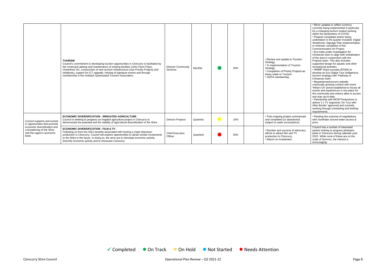|                                                                                                 | <b>TOURISM</b><br>Council's commitment to developing tourism opportunities in Cloncurry is facilitated by<br>the continued upkeep and maintenance of existing facilities (John Flynn Place,<br>Unearthed VIC, construction of new tourism infrastructure (see Priority Projects and<br>Initiatives), support for ICT upgrade, hosting of signature events and through<br>membership in the Outback Queensland Tourism Association. | <b>Director Community</b><br>Services | Monthly   | 50% | • Review and update to Tourism<br>Strategy.<br>• % implementation of Tourism<br>Strategy.<br>• Completion of Priority Projects as<br>these relate to Tourism.<br>• OQTA membership. | • Minor updates to reflect currency<br>currently being implemented in particular<br>for a changing tourism market working<br>within the parameters of COVID.<br>• Projects completed and/or being<br>undertaken in the quarter included: Digital<br>Shopfronts; Signage Plan implementation<br>or renewal; completion of the<br>Commemorative Art Project.<br>• Eco trails under investigation for<br>Chinaman Dam to align with revitalisation<br>of the area in conjunction with the<br>Projects team. This also includes<br>supported design for aquatic and other<br>recreational activities.<br>• NWMP Grant success (\$100k) to<br>develop an Eco Digital Tour (indigenous<br>tourism strategy) with 'Pathway to<br>Chinaman Dam'.<br>• #experiencecloncurry website<br>continually growing content with event<br>'What's On' portal established to house all<br>events and experiences in one place for<br>the community and visitors alike to access<br>and stay up-to-date.<br>• Partnership with MCW Productions to<br>deliver 2 x TV segments 'On Tour with<br>Allan Border' approved and currently<br>working through scheduling and briefing<br>requirements. |
|-------------------------------------------------------------------------------------------------|------------------------------------------------------------------------------------------------------------------------------------------------------------------------------------------------------------------------------------------------------------------------------------------------------------------------------------------------------------------------------------------------------------------------------------|---------------------------------------|-----------|-----|-------------------------------------------------------------------------------------------------------------------------------------------------------------------------------------|----------------------------------------------------------------------------------------------------------------------------------------------------------------------------------------------------------------------------------------------------------------------------------------------------------------------------------------------------------------------------------------------------------------------------------------------------------------------------------------------------------------------------------------------------------------------------------------------------------------------------------------------------------------------------------------------------------------------------------------------------------------------------------------------------------------------------------------------------------------------------------------------------------------------------------------------------------------------------------------------------------------------------------------------------------------------------------------------------------------------------------------------------------------------------|
| Council supports and invests<br>in opportunities that promote                                   | <b>ECONOMIC DIVERSIFICATION - IRRIGATED AGRICULTURE</b><br>Council is seeking to progress an irrigated agriculture project in Cloncurry to<br>demonstrate the potential and the viability of agricultural diversification in the Shire.                                                                                                                                                                                            | <b>Director Projects</b>              | Quarterly | 15% | • Trial cropping project commenced<br>and completed (or abandoned,<br>subject to water access/price).                                                                               | • Pending the outcome of negotiations<br>with SunWater around water access &<br>price                                                                                                                                                                                                                                                                                                                                                                                                                                                                                                                                                                                                                                                                                                                                                                                                                                                                                                                                                                                                                                                                                      |
| economic diversification and<br>a broadening of the Shire<br>and the region's economic<br>base. | <b>ECONOMIC DIVERSIFICATION - FILM &amp; TV</b><br>Following on from the 2021 benefits associated with hosting a major television<br>production in Cloncurry, Council will explore opportunities to attract similar investments<br>to the Shire in the future. In doing so, the aims are to stimulate economic activity,<br>diversify economic activity and to showcase Cloncurry.                                                 | <b>Chief Executive</b><br>Officer     | Quarterly | 50% | • Number and success of advocacy<br>efforts to attract film and TV<br>production to Cloncurry.<br>• Return on Investment.                                                           | Council has a number of interested<br>parties looking to progress pilots/pre-<br>pilots in Cloncurry during calendar year<br>2022. While none of these are on the<br>scale of Survivor, the interest is<br>encouraging.                                                                                                                                                                                                                                                                                                                                                                                                                                                                                                                                                                                                                                                                                                                                                                                                                                                                                                                                                    |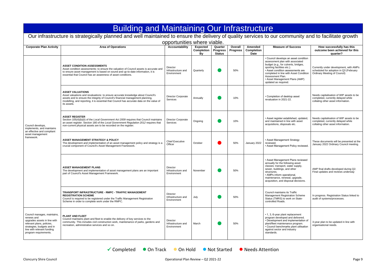|                                                                                                                                                                                             | <b>Building and Maintaining Our Infrastructure</b>                                                                                                                                                                                                                                                      |                                               |                                            |                                             |                            |                                             |                                                                                                                                                                                                                                                                                                             |                                                                                                                      |  |
|---------------------------------------------------------------------------------------------------------------------------------------------------------------------------------------------|---------------------------------------------------------------------------------------------------------------------------------------------------------------------------------------------------------------------------------------------------------------------------------------------------------|-----------------------------------------------|--------------------------------------------|---------------------------------------------|----------------------------|---------------------------------------------|-------------------------------------------------------------------------------------------------------------------------------------------------------------------------------------------------------------------------------------------------------------------------------------------------------------|----------------------------------------------------------------------------------------------------------------------|--|
|                                                                                                                                                                                             | Our infrastructure is strategically planned and well maintained to ensure the delivery of quality services to our community and to facilitate growth                                                                                                                                                    | opportunities where viable.                   |                                            |                                             |                            |                                             |                                                                                                                                                                                                                                                                                                             |                                                                                                                      |  |
| <b>Corporate Plan Activity</b>                                                                                                                                                              | <b>Area of Operations</b>                                                                                                                                                                                                                                                                               | <b>Accountability</b>                         | <b>Expected</b><br><b>Completion</b><br>B٧ | Quarter<br><b>Progress</b><br><b>Status</b> | Overall<br><b>Progress</b> | Amended<br><b>Completion</b><br><b>Date</b> | <b>Measure of Success</b>                                                                                                                                                                                                                                                                                   | How successfully has this<br>outcome been achieved for this<br>quarter?                                              |  |
| Council develops.<br>implements, and maintains<br>an effective and compliant<br>asset management<br>framework.                                                                              | <b>ASSET CONDITION ASSESSMENTS</b><br>Asset condition assessments: to ensure the valuation of Council assets is accurate and<br>to ensure asset management is based on sound and up-to-date information, it is<br>essential that Council has an awareness of asset conditions.                          | Director<br>Infrastructure and<br>Environment | Quarterly                                  |                                             | 50%                        |                                             | • Council develops an asset condition<br>assessment plan with associated<br>budget (e.g., for culverts, bridges,<br>sporting facilities etc.).<br>• Asset condition assessments are<br>completed in line with Asset Condition<br>Assessment Plan.<br>• Asset Management Plans (AMP)<br>updated as required. | Currently under development, with AMPs<br>scheduled for adoption in Q3 (February<br>Ordinary Meeting of Council)     |  |
|                                                                                                                                                                                             | <b>ASSET VALUATIONS</b><br>Asset valuations and revaluations: to ensure accurate knowledge about Council's<br>assets and to ensure the integrity of Council's financial management planning,<br>modelling, and reporting, it is essential that Council has accurate data on the value of<br>its assets. | <b>Director Corporate</b><br>Services         | Annually                                   |                                             | 10%                        |                                             | • Completion of desktop asset<br>revaluation in 2021-22.                                                                                                                                                                                                                                                    | Needs capitalisation of WIP assets to be<br>completed, currently delayed while<br>collating other asset information. |  |
|                                                                                                                                                                                             | <b>ASSET REGISTER</b><br>Section 105(4)(b)(ii) of the Local Government Act 2009 requires that Council maintains<br>an asset register. Section 180 of the Local Government Regulation 2012 requires that<br>non-current physical assets are to be recorded on the register.                              | Director Corporate<br>Services                | Ongoing                                    |                                             | 10%                        |                                             | • Asset register established, updated,<br>and maintained in line with asset<br>acquisitions, disposals etc.                                                                                                                                                                                                 | Needs capitalisation of WIP assets to be<br>completed, currently delayed while<br>collating other asset information. |  |
|                                                                                                                                                                                             | <b>ASSET MANAGEMENT STRATEGY &amp; POLICY</b><br>The development and implementation of an asset management policy and strategy is a<br>crucial component of Council's Asset Management Framework.                                                                                                       | <b>Chief Executive</b><br>Officer             | October                                    |                                             | 50%                        | January 2022                                | • Asset Management Strategy<br>reviewed.<br>• Asset Management Policy reviewed                                                                                                                                                                                                                              | These documents will be presented at the<br>January 2022 Ordinary Council meeting.                                   |  |
|                                                                                                                                                                                             | <b>ASSET MANAGEMENT PLANS</b><br>The development and implementation of asset management plans are an important<br>part of Council's Asset Management Framework.                                                                                                                                         | Director<br>Infrastructure and<br>Environment | November                                   |                                             | 50%                        |                                             | • Asset Management Plans reviewed<br>annually for the following asset<br>classes: transport, water supply,<br>sewer, buildings, and other<br>structures.<br>• AMPs inform operational,<br>maintenance, renewal, upgrade,<br>acquisition, and disposal decisions.                                            | AMP final drafts developed during Q2.<br>Final updates and reviews underway                                          |  |
|                                                                                                                                                                                             | <b>TRANSPORT INFRASTRUCTURE - RMPC - TRAFFIC MANAGEMENT</b><br><b>REGISTRATION SCHEME</b><br>Council is required to be registered under the Traffic Management Registration<br>Scheme in order to complete work under the RMPC.                                                                         | Director<br>Infrastructure and<br>Environment | July                                       |                                             | 50%                        |                                             | Council maintains its Traffic<br><b>Management Registration Scheme</b><br>Status (TMRS) to work on State-<br>controlled Roads.                                                                                                                                                                              | In progress. Registration Status linked to<br>audit of systems/processes.                                            |  |
| Council manages, maintains,<br>renews and<br>upgrades assets in line with<br>relevant plans, policies,<br>strategies, budgets and in<br>line with relevant funding<br>program requirements. | <b>PLANT AND FLEET</b><br>Council maintains plant and fleet to enable the delivery of key services to the<br>community. This includes civil construction work, maintenance of parks, gardens and<br>recreation, administrative services and so on.                                                      | Director<br>Infrastructure and<br>Environment | March                                      |                                             | 50%                        |                                             | • 1, 3, 6-year plant replacement<br>program developed and delivered.<br>• Development and implementation of<br>plant/fleet maintenance program.<br>• Council benchmarks plant utilisation<br>against sector and industry<br>standards.                                                                      | 3-year plan to be updated in line with<br>organisational needs.                                                      |  |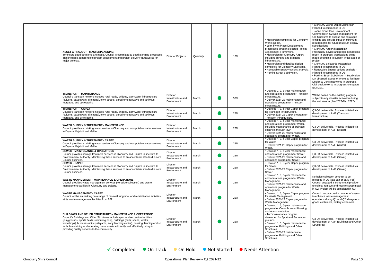| <b>ASSET &amp; PROJECT - MASTERPLANNING</b><br>To ensure good decisions are made, Council is committed to good planning processes.<br>This includes adherence to project assessment and project delivery frameworks for<br>major projects.                                                                                                                                                                                                                                 | <b>Director Projects</b>                      | Quarterly | 10% | • Masterplan completed for Cloncurry<br>Works Depot.<br>• John Flynn Place Development<br>progresses through selected Project<br>Assessment Framework.<br>• Masterplan for Cloncurry Airport,<br>including lighting and drainage<br>infrastructure.<br>• Masterplan and detailed design<br>completed for Cloncurry Saleyards.<br>• Renewable Energy options analysis.<br>• Perkins Street Subdivision. | • Cloncurry Works Depot Masterplan -<br>Planned to commence in Q3<br>• John Flynn Place Development -<br>Commence in Q2 with engagement for<br>Qld Museums to assess and catalogue<br>exhibits and provide input on minimum<br>requirements for future museum display<br>specifications<br>• Cloncurry Airport Masterplan -<br>Preliminary advice and recommendations<br>report in progress. Applications being<br>made of funding to support initial stage of<br>project<br>• Cloncurry Saleyards Masterplan -<br>Planned to commence in Q3<br>• Renewable Energy options analysis -<br>Planned to commence in Q3<br>• Perkins Street Subdivision - Subdivision<br>DA obtained. Scope of Works to facilitate<br>Design & Construct works in progress.<br>Civil design works in progress to support<br>ECI D&C. |
|----------------------------------------------------------------------------------------------------------------------------------------------------------------------------------------------------------------------------------------------------------------------------------------------------------------------------------------------------------------------------------------------------------------------------------------------------------------------------|-----------------------------------------------|-----------|-----|--------------------------------------------------------------------------------------------------------------------------------------------------------------------------------------------------------------------------------------------------------------------------------------------------------------------------------------------------------------------------------------------------------|-----------------------------------------------------------------------------------------------------------------------------------------------------------------------------------------------------------------------------------------------------------------------------------------------------------------------------------------------------------------------------------------------------------------------------------------------------------------------------------------------------------------------------------------------------------------------------------------------------------------------------------------------------------------------------------------------------------------------------------------------------------------------------------------------------------------|
| <b>TRANSPORT - MAINTENANCE</b><br>Council's transport network includes rural roads, bridges, stormwater infrastructure<br>(culverts, causeways, drainage), town streets, aerodrome runways and taxiways,<br>footpaths, and cycle paths.                                                                                                                                                                                                                                    | Director<br>Infrastructure and<br>Environment | March     | 50% | · Develop 1, 3, 5-year maintenance<br>and operations program for Transport<br>Infrastructure.<br>• Deliver 2021-22 maintenance and<br>operations program for Transport<br>Infrastructure.                                                                                                                                                                                                              | Will be based on the existing program,<br>subject to any disaster activation during<br>the wet season (Jan 2022-Mar 2022).                                                                                                                                                                                                                                                                                                                                                                                                                                                                                                                                                                                                                                                                                      |
| <b>TRANSPORT - CAPEX</b><br>Council's transport network includes rural roads, bridges, stormwater infrastructure<br>(culverts, causeways, drainage), town streets, aerodrome runways and taxiways,<br>footpaths, and cycle paths.                                                                                                                                                                                                                                          | Director<br>Infrastructure and<br>Environment | March     | 25% | • Develop 1, 3, 5-year Capex program<br>for Transport Infrastructure.<br>• Deliver 2021-22 Capex program for<br>Transport Infrastructure.                                                                                                                                                                                                                                                              | Q3-Q4 deliverable. Process initiated via<br>development of AMP (Transport<br>Infrastructure)                                                                                                                                                                                                                                                                                                                                                                                                                                                                                                                                                                                                                                                                                                                    |
| <b>WATER SUPPLY &amp; TREATMENT - MAINTENANCE</b><br>Council provides a drinking water service in Cloncurry and non-potable water services<br>in Dajarra, Kajabbi and Malbon.                                                                                                                                                                                                                                                                                              | Director<br>Infrastructure and<br>Environment | March     | 25% | · Develop 1, 3, 5-year maintenance<br>and operations program for Water,<br>including maintenance of drainage<br>channels through town<br>• Deliver 2021-22 maintenance and<br>operations program for Water.                                                                                                                                                                                            | Q3-Q4 deliverable. Process initiated via<br>development of AMP (Water)                                                                                                                                                                                                                                                                                                                                                                                                                                                                                                                                                                                                                                                                                                                                          |
| <b>WATER SUPPLY &amp; TREATMENT - CAPEX</b><br>Council provides a drinking water service in Cloncurry and non-potable water services<br>in Dajarra, Kajabbi and Malbon.                                                                                                                                                                                                                                                                                                    | Director<br>Infrastructure and<br>Environment | March     | 25% | • Develop 1, 3, 5-year Capex program<br>for Water.<br>• Deliver 2021-22 Capex program for<br>Water.                                                                                                                                                                                                                                                                                                    | Q3-Q4 deliverable. Process initiated via<br>development of AMP (Water)                                                                                                                                                                                                                                                                                                                                                                                                                                                                                                                                                                                                                                                                                                                                          |
| <b>SEWER - MAINTENANCE &amp; OPERATIONS</b><br>Council provides sewage treatment services in Cloncurry and Dajarra in line with its<br>Environmental Authority. Maintaining these services to an acceptable standard is core<br>Council business.                                                                                                                                                                                                                          | Director<br>Infrastructure and<br>Environment | March     | 25% | • Develop 1, 3, 5-year maintenance<br>and operations program for Sewer.<br>• Deliver 2021-22 maintenance and<br>operations program for Sewer.                                                                                                                                                                                                                                                          | Q3-Q4 deliverable. Process initiated via<br>development of AMP (Sewer)                                                                                                                                                                                                                                                                                                                                                                                                                                                                                                                                                                                                                                                                                                                                          |
| <b>SEWER - CAPEX</b><br>Council provides sewage treatment services in Cloncurry and Dajarra in line with its<br>Environmental Authority. Maintaining these services to an acceptable standard is core<br>Council business.                                                                                                                                                                                                                                                 | Director<br>Infrastructure and<br>Environment | March     | 25% | · Develop 1, 3, 5-year Capex program<br>for Sewer.<br>• Deliver 2021-22 Capex program for<br>Sewer.                                                                                                                                                                                                                                                                                                    | Q3-Q4 deliverable. Process initiated via<br>development of AMP (Sewer)                                                                                                                                                                                                                                                                                                                                                                                                                                                                                                                                                                                                                                                                                                                                          |
| <b>WASTE MANAGEMENT - MAINTENANCE &amp; OPERATIONS</b><br>Council provides waste management services (kerbside collection) and waste<br>management facilities in Cloncurry and Dajarra.                                                                                                                                                                                                                                                                                    | Director<br>Infrastructure and<br>Environment | March     | 25% | · Develop 1, 3, 5-year maintenance<br>and operations program for Waste<br>Management.<br>• Deliver 2021-22 maintenance and<br>operations program for Waste<br>Management.                                                                                                                                                                                                                              | Kerbside collection contract to be<br>released in Q3 (late Jan or early Feb)<br>Council engaged a Scrap Metal provider<br>to collect, remove and recycle scrap metal<br>in Q2. Project will be completed in Q3.                                                                                                                                                                                                                                                                                                                                                                                                                                                                                                                                                                                                 |
| <b>WASTE MANAGEMENT - CAPEX</b><br>Council will be embarking on a range of renewal, upgrade, and rehabilitation activities<br>at its waste management facilities from 2021.                                                                                                                                                                                                                                                                                                | Director<br>Infrastructure and<br>Environment | March     | 25% | • Develop 1, 3, 5-year Capex program<br>for Waste Management.<br>• Deliver 2021-22 Capex program for<br>Waste Management.                                                                                                                                                                                                                                                                              | Council has procured a number of assets<br>to enhance waste management<br>operations during Q1 and Q2: dangerous<br>goods containers, battery containers                                                                                                                                                                                                                                                                                                                                                                                                                                                                                                                                                                                                                                                        |
| <b>BUILDINGS AND OTHER STRUCTURES - MAINTENANCE &amp; OPERATIONS</b><br>Council's Buildings and Other Structures include sport and recreation facilities<br>(playgrounds, sports fields, swimming pool), buildings (halls, sheds, kiosks,<br>workshops), business units (saleyards, early learning centre), housing, fencing and so<br>forth. Maintaining and operating these assets efficiently and effectively is key to<br>providing quality services to the community. | Director<br>Infrastructure and<br>Environment | March     | 25% | · Develop 1, 3, 5-year maintenance<br>program for Council-owned Housing<br>and Accommodation<br>• Turf maintenance program<br>developed for Sport and Recreation<br>grounds<br>• Develop 1, 3, 5-year maintenance<br>program for Buildings and Other<br>Structures.<br>• Deliver 2021-22 maintenance<br>program for Buildings and Other<br>Structures.                                                 | Q3-Q4 deliverable. Process initiated via<br>development of AMP (Buildings and Other<br>Structures)                                                                                                                                                                                                                                                                                                                                                                                                                                                                                                                                                                                                                                                                                                              |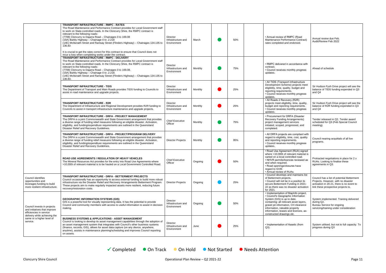|                                                                                                         | <b>TRANSPORT INFRASTRUCTURE - RMPC - RATES</b><br>The Road Maintenance and Performance Contract provides for Local Government staff<br>to work on State-controlled roads. In the Cloncurry Shire, the RMPC contract is<br>relevant to the following roads:<br>(7708) Cloncurry to Dajarra Road - Chainages 0 to 169.08<br>(15A) Barkly Highway - Chainage 0 to .2.218<br>(14E) McIlwraith Street and Ramsay Street (Flinders Highway) - Chainages 134.135 to<br>136.83<br>It is crucial to get the rates correct for this contract to ensure that Council does not<br>incur a loss when completing works under the contract. | Director<br>Infrastructure and<br>Environment | March   | 50% | • Annual review of RMPC (Road<br>Maintenance Performance Contract)<br>rates completed and endorsed.                                                                                                                                                                                                 | Annual review due Feb.<br>Audit/Review Feb 2022                                                                                                                       |
|---------------------------------------------------------------------------------------------------------|------------------------------------------------------------------------------------------------------------------------------------------------------------------------------------------------------------------------------------------------------------------------------------------------------------------------------------------------------------------------------------------------------------------------------------------------------------------------------------------------------------------------------------------------------------------------------------------------------------------------------|-----------------------------------------------|---------|-----|-----------------------------------------------------------------------------------------------------------------------------------------------------------------------------------------------------------------------------------------------------------------------------------------------------|-----------------------------------------------------------------------------------------------------------------------------------------------------------------------|
|                                                                                                         | TRANSPORT INFRASTRUCTURE - RMPC - DELIVERY<br>The Road Maintenance and Performance Contract provides for Local Government staff<br>to work on State-controlled roads. In the Cloncurry Shire, the RMPC contract is<br>relevant to the following roads:<br>(7708) Cloncurry to Dajarra Road - Chainages 0 to 169.08.<br>(15A) Barkly Highway - Chainage 0 to .2.218.<br>(14E) McIlwraith Street and Ramsay Street (Flinders Highway) - Chainages 134.135 to<br>136.83.                                                                                                                                                        | Director<br>Infrastructure and<br>Environment | Monthly | 75% | • RMPC delivered in accordance with<br>contract.<br>• Council receives monthly progress<br>updates.                                                                                                                                                                                                 | Ahead of schedule                                                                                                                                                     |
|                                                                                                         | <b>TRANSPORT INFRASTRUCTURE - TIDS</b><br>The Department of Transport and Main Roads provides TIDS funding to Councils to<br>assist in road maintenance and upgrade projects.                                                                                                                                                                                                                                                                                                                                                                                                                                                | Director<br>Infrastructure and<br>Environment | Monthly | 25% | • All TIDS (Transport Infrastructure<br>Development Scheme) projects meet<br>eligibility, time, quality, budget and<br>reporting requirements.<br>• Council receives monthly progress<br>updates.                                                                                                   | Sir Hudson Fysh Drive project will see the<br>balance of TIDS funding expended in Q3<br>and Q4                                                                        |
|                                                                                                         | <b>TRANSPORT INFRASTRUCTURE - R2R</b><br>The Department of Infrastructure and Regional Development provides R2R funding to<br>Councils to assist in transport infrastructure maintenance and upgrade projects.                                                                                                                                                                                                                                                                                                                                                                                                               | Director<br>Infrastructure and<br>Environment | Monthly | 25% | • All Roads 2 Recovery (R2R)<br>projects meet eligibility, time, quality,<br>budget and reporting requirements.<br>• Council receives monthly progress<br>updates.                                                                                                                                  | Sir Hudson Fysh Drive project will see the<br>balance of R2R funding expended in Q3<br>and Q4                                                                         |
|                                                                                                         | TRANSPORT INFRASTRUCTURE - DRFA - PROJECT MANAGEMENT<br>The DRFA is a joint Commonwealth and State Government arrangement that provides<br>a diverse range of funding relief measures following an eligible disaster. Activation,<br>eligibility, and funding/expenditure requirements are outlined in the Queensland<br>Disaster Relief and Recovery Guidelines.                                                                                                                                                                                                                                                            | <b>Chief Executive</b><br>Officer             | Monthly | 75% | • Procurement for DRFA (Disaster<br>Recovery Funding Arrangements)<br>project management services<br>initiated, scoped, progressed, and<br>completed.                                                                                                                                               | Tender released in Q2. Tender award<br>scheduled for Q3 (Feb Special Council<br>meeting).                                                                             |
|                                                                                                         | TRANSPORT INFRASTRUCTURE - DRFA - PROJECT/PROGRAM DELIVERY<br>The DRFA is a joint Commonwealth and State Government arrangement that provides<br>a diverse range of funding relief measures following an eligible disaster. Activation,<br>eligibility, and funding/expenditure requirements are outlined in the Queensland<br>Disaster Relief and Recovery Guidelines.                                                                                                                                                                                                                                                      | <b>Director Projects</b>                      | Monthly | 95% | • All DRFA projects are compliant with<br>regard to eligibility, time, cost, quality<br>and reporting requirements.<br>• Council receives monthly progress<br>updates.                                                                                                                              | Council nearing acquittals of all live<br>programs.                                                                                                                   |
|                                                                                                         | <b>ROAD USE AGREEMENTS / REGULATION OF HEAVY VEHICLES</b><br>The Mineral Resources Act provides for the entry into Road Use Agreements where<br>>10,000t of relevant material is to be hauled on a Local Government Controlled Road.                                                                                                                                                                                                                                                                                                                                                                                         | <b>Chief Executive</b><br>Officer             | Ongoing | 50% | • Road Use Agreement (RUA) signed<br>where >10,000t of relevant material is<br>carted on a local controlled road.<br>• NHVR permits/licences reviewed as<br>and when required.<br>• Road openings/closures have<br>regard to GVM.<br>• Annual review of RUAs.                                       | Protracted negotiations in place for 2 x<br>RUAs. Looking to finalise these<br>agreements in Q3.                                                                      |
| Council identifies<br>opportunities and<br>leverages funding to build<br>more resilient infrastructure. | TRANSPORT INFRASTRUCTURE - DRFA - BETTERMENT PROJECTS<br>Council occasionally has an opportunity to access external funding to build more robust<br>infrastructure via the Disaster Relief and Recovery Arrangements Betterment Program.<br>These projects aim to make regularly impacted assets more resilient, reducing future<br>recovery/restoration costs.                                                                                                                                                                                                                                                              | <b>Director Projects</b>                      | Ongoing | 25% | • Council develops and maintains list<br>of Betterment projects.<br>• Council will not be in a position to<br>secure Betterment Funding in 2021-<br>22 as there was no disaster activation<br>for 2021.                                                                                             | Council has a list of potential Betterment<br>Projects. However, with no disaster<br>activation in 20-21, there is no event to<br>link these prospective projects to. |
| Council invests in projects<br>and initiatives that improve<br>efficiencies in service                  | <b>GEOGRAPHIC INFORMATION SYSTEMS (GIS)</b><br>GIS is a powerful tool for visually representing data. It has the potential to provide<br>Council and community members with access to useful information to assist in decision<br>making.                                                                                                                                                                                                                                                                                                                                                                                    | Director<br>Infrastructure and<br>Environment | Ongoing | 50% | • Implementation of MapInfo project.<br>• Council's Geographic Information<br>System (GIS) is up to date,<br>containing: all relevant asset layers,<br>gravel pit information, CH clearance<br>information, rateable property<br>information, leases and licences, as-<br>constructed drawings etc. | System implemented. Training delivered<br>during Q2.<br>Bureau Service for ongoing<br>servicing/training under consideration                                          |
| delivery while achieving the<br>same or a higher level of<br>service.                                   | <b>BUSINESS SYSTEMS &amp; APPLICATIONS - ASSET MANAGEMENT</b><br>Council is looking to develop its asset management capabilities through the adoption of<br>an asset management system that integrates with Council's other business systems<br>(finance, records, GIS), allows for asset data capture (on any device, anywhere,<br>anytime), assists in maintenance planning/scheduling and improves Council reporting<br>on assets.                                                                                                                                                                                        | Director<br>Infrastructure and<br>Environment | June    | 25% | • Implementation of Assetic (from<br>$Q3$ ).                                                                                                                                                                                                                                                        | System utilised, but not to full capacity. To<br>progress during Q3                                                                                                   |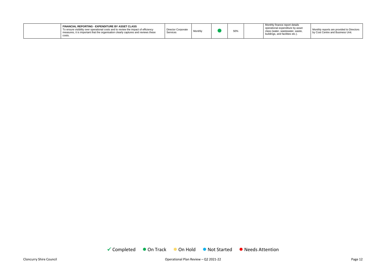

|  | FINANCIAL REPORTING - EXPENDITURE BY ASSET CLASS<br>To ensure visibility over operational costs and to review the impact of efficiency<br>measures, it is important that the organisation clearly captures and reviews these<br>costs. | Director Corporate<br>Services | Monthly |  | 50% |  | Monthly finance report details<br>operational expenditure by asset<br>class (water, wastewater, waste,<br>buildings, and facilities etc.). |
|--|----------------------------------------------------------------------------------------------------------------------------------------------------------------------------------------------------------------------------------------|--------------------------------|---------|--|-----|--|--------------------------------------------------------------------------------------------------------------------------------------------|
|--|----------------------------------------------------------------------------------------------------------------------------------------------------------------------------------------------------------------------------------------|--------------------------------|---------|--|-----|--|--------------------------------------------------------------------------------------------------------------------------------------------|

Monthly reports are provided to Directors by Cost Centre and Business Unit.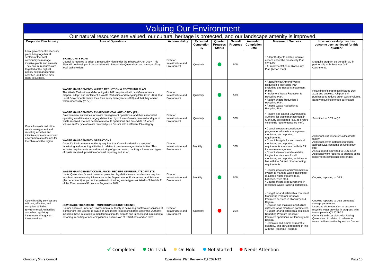

| <b>Valuing Our Environment</b>                                                                                                                                                                                                                                                  |                                                                                                                                                                                                                                                                                                                                                                                                                                |                                                      |                                            |                                             |                            |                                      |                                                                                                                                                                                                                                                                                                                                                                                                                                                          |                                                                                                                                                                                                                                                                                                          |  |  |
|---------------------------------------------------------------------------------------------------------------------------------------------------------------------------------------------------------------------------------------------------------------------------------|--------------------------------------------------------------------------------------------------------------------------------------------------------------------------------------------------------------------------------------------------------------------------------------------------------------------------------------------------------------------------------------------------------------------------------|------------------------------------------------------|--------------------------------------------|---------------------------------------------|----------------------------|--------------------------------------|----------------------------------------------------------------------------------------------------------------------------------------------------------------------------------------------------------------------------------------------------------------------------------------------------------------------------------------------------------------------------------------------------------------------------------------------------------|----------------------------------------------------------------------------------------------------------------------------------------------------------------------------------------------------------------------------------------------------------------------------------------------------------|--|--|
| Our natural resources are valued, our cultural heritage is protected, and our landscape amenity is improved.                                                                                                                                                                    |                                                                                                                                                                                                                                                                                                                                                                                                                                |                                                      |                                            |                                             |                            |                                      |                                                                                                                                                                                                                                                                                                                                                                                                                                                          |                                                                                                                                                                                                                                                                                                          |  |  |
| <b>Corporate Plan Activity</b>                                                                                                                                                                                                                                                  | <b>Area of Operations</b>                                                                                                                                                                                                                                                                                                                                                                                                      | <b>Accountability</b>                                | <b>Expected</b><br><b>Completion</b><br>Bv | Quarter<br><b>Progress</b><br><b>Status</b> | Overall<br><b>Progress</b> | Amended<br>Completion<br><b>Date</b> | <b>Measure of Success</b>                                                                                                                                                                                                                                                                                                                                                                                                                                | How successfully has this<br>outcome been achieved for this<br>quarter?                                                                                                                                                                                                                                  |  |  |
| Local government biosecurity<br>plans bring together all<br>sectors of the local<br>community to manage<br>invasive plants and animals.<br>They ensure resources are<br>targeted at the highest<br>priority pest management<br>activities, and those most<br>likely to succeed. | <b>BIOSECURITY PLAN</b><br>Council is required to adopt a Biosecurity Plan under the Biosecurity Act 2014. This<br>Plan will be developed in association with Biosecurity Queensland and a range of key<br>local stakeholders.                                                                                                                                                                                                 | Director<br>Infrastructure and<br>Environment        | Quarterly                                  |                                             | 50%                        |                                      | • Adopt Budget to enable required<br>actions under the Biosecurity Plan<br>2019-23.<br>• % implementation of Biosecurity<br>Plan (Action Plan).                                                                                                                                                                                                                                                                                                          | Mesquite program delivered in Q2 in<br>partnership with Southern Gulf<br>Catchments.                                                                                                                                                                                                                     |  |  |
| Council's waste reduction.<br>waste management and<br>recycling activities and<br>initiatives promote improved<br>environmental outcomes for<br>the Shire and the region.                                                                                                       | <b>WASTE MANAGEMENT - WASTE REDUCTION &amp; RECYCLING PLAN</b><br>The Waste Reduction and Recycling Act 2011 requires that Local Governments<br>prepare, adopt, and implement a Waste Reduction and Recycling Plan (s121-125), that<br>Local Governments review their Plan every three years (s126) and that they amend<br>where necessary (s127).                                                                             | Director<br>Infrastructure and<br>Environment        | Quarterly                                  |                                             | 50%                        |                                      | • Adopt/Review/Amend Waste<br>Reduction & Recycling Plan<br>(including Site Based Management<br>Plans).<br>• Implement Waste Reduction &<br>Recycling Plan.<br>• Review Waste Reduction &<br>Recycling Plan.<br>• Amend Waste Reduction &<br>Recycling Plan.                                                                                                                                                                                             | Recycling of scrap metal initiated Dec.<br>2021 and ongoing. Chipper unit<br>purchased to reduce green waste volume.<br>Battery recycling storage purchased                                                                                                                                              |  |  |
|                                                                                                                                                                                                                                                                                 | <b>WASTE MANAGEMENT - ENVIRONMENTAL AUTHORITY (EA)</b><br>Environmental authorities for waste management operations (and their associated<br>operating conditions) are largely determined by volume of waste received and type of<br>waste received. Council needs to review its operations and amend its EA where<br>volume and/or type of waste received push Council into a different EA category.                          | Director<br>Infrastructure and<br>Environment        | Quarterly                                  |                                             | 50%                        |                                      | • Review and amend Environmental<br>Authority for waste management in<br>Cloncurry as required (e.g., to ensure<br>volumetric requirements are met).                                                                                                                                                                                                                                                                                                     | Submitted to DES in Q2                                                                                                                                                                                                                                                                                   |  |  |
|                                                                                                                                                                                                                                                                                 | <b>WASTE MANAGEMENT - OPERATIONS</b><br>Council's Environmental Authority requires that Council undertake a range of<br>monitoring and reporting activities in relation to waste management activities. This<br>includes requirements around monitoring of ground water, tracking volumes and types<br>of waste received, provision of annual reporting and so on.                                                             | Director<br>Infrastructure and<br>Environment        | Monthly                                    |                                             | 30%                        |                                      | • Council creates a compliance<br>program for all waste management<br>monitoring and reporting<br>requirements.<br>• Council budgets for and meets all<br>monitoring and reporting<br>requirements associated with its EA<br>for waste management.<br>• Council develops and maintains<br>longitudinal data sets for all<br>monitoring and reporting activities in<br>line with the EA and other reporting<br>requirements.                              | Additional staff resources allocated to<br>facility<br>Additional cover material sourced to<br>address DES concerns on wind-blown<br>litter<br>Annual report submitted to DES in Q2<br>Additional work required to address some<br>longer-term compliance challenges                                     |  |  |
|                                                                                                                                                                                                                                                                                 | <b>WASTE MANAGEMENT COMPLIANCE - RECEIPT OF REGULATED WASTE</b><br>Under Queensland's environmental protection legislation waste handlers are required<br>to submit waste tracking information to the Department of Environment and Science<br>(the department) as part of the system for tracking waste types as listed in Schedule 11<br>of the Environmental Protection Regulation 2019.                                    | <b>Director</b><br>Infrastructure and<br>Environment | Monthly                                    |                                             | 50%                        |                                      | • Council develops and implements a<br>system to manage waste tracking for<br>regulated waste streams (e.g.,<br>batteries, tyres etc.).<br>• Council meets all requirements in<br>relation to waste tracking certificates.                                                                                                                                                                                                                               | Ongoing reporting to DES                                                                                                                                                                                                                                                                                 |  |  |
| Council's utility services are<br>efficient, effective, and<br>compliant with the<br><b>Environmental Authorities</b><br>and other regulatory<br>instruments that govern<br>these services.                                                                                     | <b>SEWERAGE TREATMENT - MONITORING REQUIREMENTS</b><br>Council operates under an Environmental Authority in delivering wastewater services. It<br>is important that Council is aware of, and meets its responsibilities under this Authority,<br>including those in relation to monitoring of inputs, outputs and impacts and in relation to<br>reporting: reporting of non-compliances, submission of SWIM data and so forth. | Director<br>Infrastructure and<br>Environment        | Quarterly                                  |                                             | 25%                        |                                      | • Budget for and establish a compliant<br>Monitoring Program for sewer<br>treatment services in Cloncurry and<br>Dajarra.<br>• Develop and maintain longitudinal<br>datasets for all monitored parameters.<br>• Budget for and establish a compliant<br>Reporting Program for sewer<br>treatment operations in Cloncurry and<br>Dajarra.<br>• Complete and submit all monthly,<br>quarterly, and annual reporting in line<br>with the Reporting Program. | Ongoing reporting to DES on treated<br>sewage parameters.<br>Licensing documentation to become a<br>recycled water provider in progress. Aim<br>to complete in Q3 2021-22.<br>Currently in discussions with Racing<br>Queensland in relation to release of<br>treated effluent to the Equestrian Centre. |  |  |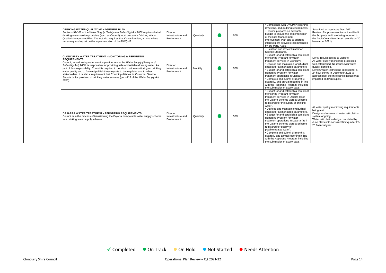| DRINKING WATER QUALITY MANAGEMENT PLAN<br>Sections 92-101 of the Water Supply (Safety and Reliability) Act 2008 requires that all<br>drinking water service providers (such as Council) must prepare a Drinking Water<br>Quality Management Plan. The Act also requires that Council review, amend where<br>necessary and report on the implementation of the DWQMP.                                                                                                                                                                                                                                                                           | Director<br>Infrastructure and<br>Environment | Quarterly      | 50% | • Compliance with DWQMP reporting,<br>reviewing, and auditing requirements.<br>Submitted to regulators Dec. 2021<br>• Council prepares an adequate<br>Review of improvement items identified in<br>budget to ensure the implementation<br>the 3rd party audit are being reported to<br>of the Risk Management<br>the Audit Committee (most recently on 30<br>Improvement Plan and to address<br>November 2021).<br>improvement activities recommended<br>by 3rd Party Audit.                                                                                                                                                                                                                                                                                                                                                                                                                          |
|------------------------------------------------------------------------------------------------------------------------------------------------------------------------------------------------------------------------------------------------------------------------------------------------------------------------------------------------------------------------------------------------------------------------------------------------------------------------------------------------------------------------------------------------------------------------------------------------------------------------------------------------|-----------------------------------------------|----------------|-----|-------------------------------------------------------------------------------------------------------------------------------------------------------------------------------------------------------------------------------------------------------------------------------------------------------------------------------------------------------------------------------------------------------------------------------------------------------------------------------------------------------------------------------------------------------------------------------------------------------------------------------------------------------------------------------------------------------------------------------------------------------------------------------------------------------------------------------------------------------------------------------------------------------|
| <b>CLONCURRY WATER TREATMENT - MONITORING &amp; REPORTING</b><br><b>REQUIREMENTS</b><br>Council, as a drinking water service provider under the Water Supply (Safety and<br>Reliability Act) 2008, is responsible for providing safe and reliable drinking water. As<br>part of this responsibility, Council is required to conduct routine monitoring on drinking<br>water quality and to forward/publish these reports to the regulator and to other<br>stakeholders. It is also a requirement that Council publishes its Customer Service<br>Standards for provision of drinking water services (per s115 of the Water Supply Act<br>2008). | Director<br>Infrastructure and<br>Environment | <b>Monthly</b> | 50% | . Establish and review Customer<br>Service Standards.<br>• Budget for and establish a compliant<br>Monitoring Program for water<br>SWIM results posted to website<br>treatment services in Cloncurry.<br>All water quality monitoring processes<br>well established. No issues with water<br>• Develop and maintain a longitudinal<br>quality identified.<br>dataset for all monitored parameters.<br>• Budget for and establish a compliant<br>Level 6 water restrictions imposed for a<br>Reporting Program for water<br>24-hour period in December 2021 to<br>treatment operations in Cloncurry.<br>address post-storm electrical issues that<br>• Complete and submit all monthly,<br>impacted on town supply.<br>quarterly, and annual reporting in line<br>with the Reporting Program, including<br>the submission of SWIM data.                                                                |
| DAJARRA WATER TREATMENT - REPORTING REQUIREMENTS<br>Council is in the process of transitioning the Dajarra non-potable water supply scheme<br>to a drinking water supply scheme.                                                                                                                                                                                                                                                                                                                                                                                                                                                               | Director<br>Infrastructure and<br>Environment | Quarterly      | 50% | • Budget for and establish a compliant<br>Monitoring Program for water<br>treatment services in Dajarra (as if<br>the Dajarra Scheme were a Scheme<br>registered for the supply of drinking<br>water).<br>All water quality monitoring requirements<br>• Develop and maintain longitudinal<br>being met.<br>dataset for all monitored parameters.<br>Design and renewal of water reticulation<br>• Budget for and establish a compliant<br>system ongoing<br>Reporting Program for water<br>Water reticulation design completed by<br>treatment operations in Dajarra (as if<br>June 30 view to construct first quarter 22-<br>the Dajarra Scheme were a Scheme<br>23 financial year.<br>registered for supply of<br>potable/treated water).<br>• Complete and submit all monthly,<br>quarterly and annual reporting in line<br>with the Reporting Program, including<br>the submission of SWIM data. |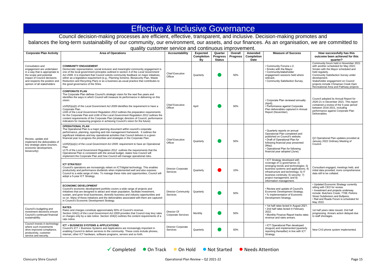## Effective & Inclusive Governance

Council decision-making processes are efficient, effective, transparent, and inclusive. Decision-making promotes and balances the long-term sustainability of our community, our environment, our assets, and our finances. As an organisation, we are committed to quality customer service and continuous improvement.

|                                                                                                                                                                                                            |                                                                                                                                                                                                                                                                                                                                                                                                                                                                                                                                                                                                                                                                                                                            |                                          |                                            |                                             | .                          |                                             |                                                                                                                                                                                                                                                                                          |                                                                                                                                                                                                                                                                                                                      |
|------------------------------------------------------------------------------------------------------------------------------------------------------------------------------------------------------------|----------------------------------------------------------------------------------------------------------------------------------------------------------------------------------------------------------------------------------------------------------------------------------------------------------------------------------------------------------------------------------------------------------------------------------------------------------------------------------------------------------------------------------------------------------------------------------------------------------------------------------------------------------------------------------------------------------------------------|------------------------------------------|--------------------------------------------|---------------------------------------------|----------------------------|---------------------------------------------|------------------------------------------------------------------------------------------------------------------------------------------------------------------------------------------------------------------------------------------------------------------------------------------|----------------------------------------------------------------------------------------------------------------------------------------------------------------------------------------------------------------------------------------------------------------------------------------------------------------------|
| <b>Corporate Plan Activity</b>                                                                                                                                                                             | <b>Area of Operations</b>                                                                                                                                                                                                                                                                                                                                                                                                                                                                                                                                                                                                                                                                                                  | <b>Accountability</b>                    | <b>Expected</b><br><b>Completion</b><br>Bv | Quarter<br><b>Progress</b><br><b>Status</b> | Overall<br><b>Progress</b> | Amended<br><b>Completion</b><br><b>Date</b> | <b>Measure of Success</b>                                                                                                                                                                                                                                                                | How successfully has this<br>outcome been achieved for this<br>quarter?                                                                                                                                                                                                                                              |
| Consultation and<br>engagement are undertaken<br>in a way that is appropriate to<br>the scope and potential<br>impact of Council decisions<br>and respects the position and<br>opinion of all stakeholders | <b>COMMUNITY ENGAGEMENT</b><br>Democratic representation, social inclusion and meaningful community engagement is<br>one of the local government principles outlined in section 4 of the Local Government<br>Act 2009. It is important that Council solicits community feedback on major initiatives,<br>either as a legislative requirement (e.g., Planning Scheme, Biosecurity Plan, Waste<br>Reduction and Recycling Plan) or as a business-as-usual practice that contributes to<br>the good governance of the Shire.                                                                                                                                                                                                  | <b>Chief Executive</b><br>Officer        | Quarterly                                  |                                             | 50%                        |                                             | • Community Forums x 2.<br>• Smoko with the Mayor.<br>• Community/stakeholder<br>engagement sessions held where<br>relevant.<br>• Community Satisfaction Survey.                                                                                                                         | Community forum held in November 2021<br>with another scheduled for May 2022;<br>Smoko with the Mayor scheduled and<br>held regularly.<br>Community Satisfaction Survey under<br>development.<br>Stakeholder engagement on Council<br>projects include Chinaman Creek Dam<br>Recreational Area and Pathway projects. |
| Review, update and<br>implement the deliverables of<br>key strategic plans (tourism,<br>economic development,<br>biosecurity)                                                                              | <b>CORPORATE PLAN</b><br>The Corporate Plan defines Council's strategic vision for the next five years and<br>identifies the ways in which Council will measure its performance in delivering on this<br>vision.<br>s105(5)(a)(i) of the Local Government Act 2009 identifies the requirement to have a<br>Corporate Plan.<br>s165 of the Local Government Regulation 2012 outlines the preparation requirements<br>for the Corporate Plan and s166 of the Local Government Regulation 2012 outlines the<br>content requirements of the Corporate Plan (strategic direction of Council, performance<br>indicators for measuring progress in achieving Council's vision for the future)                                     | <b>Chief Executive</b><br>Officer        | April                                      |                                             | 50%                        |                                             | • Corporate Plan reviewed annually<br>(April).<br>· Performance against Corporate<br>Plan deliverables captured in Annual<br>Report (November).                                                                                                                                          | Council adopted its Annual Report for<br>2020-21 in December 2021. This report<br>contained a review of the 5-year period<br>between 2016-2021, including<br>performance against Corporate Plan<br>Deliverables.                                                                                                     |
|                                                                                                                                                                                                            | <b>OPERATIONAL PLAN</b><br>The Operational Plan is a major planning document within council's corporate<br>performance, planning, reporting and risk management framework. It outlines the<br>significant initiatives and key operational activities that Council delivers in a given<br>financial year to progress the priorities and strategies in the Corporate Plan.<br>s105(5)(a)(v) of the Local Government Act 2009: requirement to have an Operational<br>Plan<br>s175 of the Local Government Regulation 2012 outlines the requirements that the<br>Operational Plan is consistent with the annual budget, states how Council will<br>implement the Corporate Plan and how Council will manage operational risks. | <b>Chief Executive</b><br>Officer        | Quarterly                                  |                                             | 50%                        |                                             | • Quarterly reports on annual<br>Operational Plan completed and<br>published on Council's website.<br>• Draft of Operational Plan for<br>following financial year presented<br>(May).<br>• Operational Plan for following<br>financial year adopted (June).                              | Q2 Operational Plan updates provided at<br>January 2022 Ordinary Meeting of<br>Council.                                                                                                                                                                                                                              |
|                                                                                                                                                                                                            | <b>ICT STRATEGY</b><br>Council's operations are increasingly reliant on ICT/digital technology. This enables<br>productivity and performance dividends when implemented well and also exposes<br>Council to a wide range of risks. To manage these risks and opportunities, Council will<br>adopt a 5-year ICT Strategy.                                                                                                                                                                                                                                                                                                                                                                                                   | <b>Director Corporate</b><br>Services    | Quarterly                                  |                                             | 10%                        |                                             | • ICT Strategy developed with<br>coverage of 1) governance; 2)<br>emerging trends and technologies; 3)<br>business systems and applications; 4)<br>infrastructure and technology; 5) IT<br>business continuity; 6) security; 7)<br>project management; and 8)<br>information management. | Consultant engaged, meetings held, and<br>initial data provided, more comprehensive<br>data still to be collated.                                                                                                                                                                                                    |
|                                                                                                                                                                                                            | <b>ECONOMIC DEVELOPMENT</b><br>Council's economic development portfolio covers a wide range of projects and<br>initiatives that are designed to attract and retain population, facilitate investment,<br>sustain, and grow local businesses, diversify business and industry opportunities and<br>so on. Many of these initiatives and the deliverables associated with them are captured<br>in Council's Economic Development Strategy.                                                                                                                                                                                                                                                                                   | Director Community<br>Services           | Quarterly                                  |                                             | 50%                        |                                             | • Review and update of Council's<br>Economic Development Strategy.<br>• % implementation of Economic<br>Development Strategy.                                                                                                                                                            | • Updated Economic Strategy currently<br>sitting with CEO for review.<br>• Investment and projects underway<br>include: Butchers Creek; 7708; Perkins<br>Street Subdivision and Bullpens.<br>• Rail and Roads Forum is scheduled for<br>May 2022.                                                                    |
| Council's budgeting and<br>investment decisions ensure<br>Council's continued financial<br>sustainability.                                                                                                 | <b>RATES</b><br>Rates and charges constitute approximately 50% of Council's revenue.<br>Section 104(1) of the Local Government Act 2009 provides that Council may levy rates<br>or charges only by a rate notice. Section 104(2) outlines the content requirements of a<br>rate notice.                                                                                                                                                                                                                                                                                                                                                                                                                                    | Director Of<br><b>Corporate Services</b> | Monthly                                    |                                             | 50%                        |                                             | • 1st half rates levied in August 2021.<br>• 2nd half rates levied in February<br>2022.<br>• Monthly Finance Report tracks rates<br>revenue and rates arrears.                                                                                                                           | 1st half years rates issued, 2nd half<br>progressing. Arrears action delayed due<br>to staff shortages.                                                                                                                                                                                                              |
| Council invests in technology<br>where such investments<br>drive improved compliance,<br>productivity, customer<br>service and security.                                                                   | <b>ICT + BUSINESS SYSTEMS &amp; APPLICATIONS</b><br>Council's ICT + Business Systems and Applications are increasingly important in<br>enabling Council to deliver services to the community. These costs include phones,<br>internet, other ICT hardware, software programs, servers and so forth.                                                                                                                                                                                                                                                                                                                                                                                                                        | <b>Director Corporate</b><br>Services    | Quarterly                                  |                                             | 50%                        |                                             | • ICT Operational Plan developed<br>(August) and implemented (quarterly<br>reporting thereafter) in line with ICT<br>Strategy.                                                                                                                                                           | New CX3 phone system implemented.                                                                                                                                                                                                                                                                                    |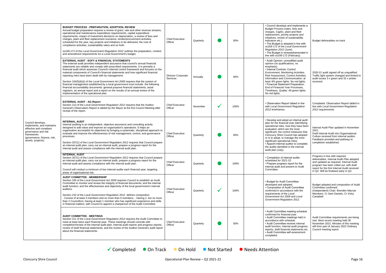| Council develops,<br>implements, and maintains<br>effective and compliant<br>governance and risk<br>frameworks<br>(governance, finance, risk,<br>assets, projects). | <b>BUDGET PROCESS - PREPARATION, ADOPTION, REVIEW</b><br>Annual budget preparation requires a review of grant, rate and other revenue streams,<br>operational and maintenance expenditure requirements, capital expenditure<br>requirements, impact of investment decisions on depreciation, a review of fees and<br>charges, plant and fleet replacement scenarios, tender/procurement activities<br>scheduled for the year, key projects and initiatives to be delivered, the cost of<br>compliance activities, sustainability ratios and so forth.<br>ss169-172 of the Local Government Regulation 2012 outlines the preparation, content<br>and amendment requirements for a Local Government's budget.                                                                                                                                                             | <b>Chief Executive</b><br>Officer     | Quarterly | 50%  | • Council develops and implements a<br>Budget Process (rates, fees and<br>charges, CapEx, plant and fleet<br>replacement, priority projects and<br>initiatives, review of sustainability<br>indicators etc.).<br>• The Budget is adopted in line with<br>ss169-172 of the Local Government<br>Regulation 2012 (June).<br>• The Budget is reviewed/amended in<br>line with ss169-172 (February).                                | Budget deliverables on track                                                                                                                                                                                                                               |
|---------------------------------------------------------------------------------------------------------------------------------------------------------------------|-------------------------------------------------------------------------------------------------------------------------------------------------------------------------------------------------------------------------------------------------------------------------------------------------------------------------------------------------------------------------------------------------------------------------------------------------------------------------------------------------------------------------------------------------------------------------------------------------------------------------------------------------------------------------------------------------------------------------------------------------------------------------------------------------------------------------------------------------------------------------|---------------------------------------|-----------|------|--------------------------------------------------------------------------------------------------------------------------------------------------------------------------------------------------------------------------------------------------------------------------------------------------------------------------------------------------------------------------------------------------------------------------------|------------------------------------------------------------------------------------------------------------------------------------------------------------------------------------------------------------------------------------------------------------|
|                                                                                                                                                                     | <b>EXTERNAL AUDIT - EOFY &amp; FINANCIAL STATEMENTS</b><br>The external audit provides independent assurance that council's annual financial<br>statements are reliable and comply with prescribed requirements. It is primarily a<br>financial audit which assesses Council's internal control framework and focuses on the<br>material components of Council's financial statements and how significant financial<br>reporting risks have been dealt with by management.<br>Section 104(5)(b)(i) of the Local Government Act 2009 requires that the system of<br>financial management established by a local government must include the following<br>financial accountability documents: general purpose financial statements, asset<br>registers, an annual report and a report on the results of an annual review of the<br>implementation of the operational plan | <b>Director Corporate</b><br>Services | Annually  | 50%  | • Audit Opinion: unmodified audit<br>opinion (no qualifications, no<br>emphasis).<br>• Internal Controls: Control<br>Environment, Monitoring Activities,<br>Risk Assessment, Control Activities,<br>Information and Communication: at<br>least 4/5 green lights. No red lights.<br>• Financial Statement Preparation:<br>End of Financial Year Processes.<br>Timeliness, Quality: All green lights.<br>No red lights.          | 2020-21 audit signed off as unqualified.<br>Traffic light system changed and limited to<br>audit issues 3 x green and 32 x amber<br>received.                                                                                                              |
|                                                                                                                                                                     | <b>EXTERNAL AUDIT - AG Report</b><br>Section 213 of the Local Government Regulation 2012 requires that the Auditor-<br>General's Observation Report is tabled by the Mayor at the first Council Meeting after<br>receipt of the report.                                                                                                                                                                                                                                                                                                                                                                                                                                                                                                                                                                                                                                 | <b>Chief Executive</b><br>Officer     | November  | 100% | • Observation Report tabled in line<br>with Local Government Regulation<br>2012 timeframes.                                                                                                                                                                                                                                                                                                                                    | Completed. Observation Report tabled in<br>line with Local Government Regulation<br>2012 requirements.                                                                                                                                                     |
|                                                                                                                                                                     | <b>INTERNAL AUDIT</b><br>Internal auditing is an independent, objective assurance and consulting activity<br>designed to add value and improve an organisation's operations. It helps an<br>organisation accomplish its objectives by bringing a systematic, disciplined approach to<br>evaluate and improve the effectiveness of risk management, control, and governance<br>processes.<br>Section 207(1) of the Local Government Regulation 2012 requires that Council prepare<br>an internal audit plan, carry out an internal audit, prepare a progress report for the<br>internal audit and assess compliance with the internal audit plan.                                                                                                                                                                                                                        | <b>Chief Executive</b><br>Officer     | Quarterly | 50%  | • Develop and adopt an internal audit<br>plan for the financial year (identifying<br>operational risks, how they have been<br>evaluated, which are the most<br>significant, the control measures that<br>Cloncurry Shire Council has adopted<br>or is to adopt, to manage the most<br>significant operational risks).<br>• Appoint internal auditor to complete<br>the audits identified in the internal<br>audit plan (July). | Internal Audit Plan updated in November<br>2021.<br>Draft Internal Audit into Organisational<br>Culture received from internal auditor.<br>Feedback provided and pathway to<br>completion established.                                                     |
|                                                                                                                                                                     | <b>INTERNAL AUDIT</b><br>Section 207(1) of the Local Government Regulation 2012 requires that Council prepare<br>an internal audit plan, carry out an internal audit, prepare a progress report for the<br>internal audit and assess compliance with the internal audit plan.<br>Council will conduct a minimum of two internal audits each financial year, targeting<br>areas of organisational risk.                                                                                                                                                                                                                                                                                                                                                                                                                                                                  | <b>Chief Executive</b><br>Officer     | Quarterly | 100% | • Completion of internal audits<br>scheduled for 2021-22.<br>• Prepare progress report for the<br>internal audit and present to Audit<br>Committee.                                                                                                                                                                                                                                                                            | Progress in line with required<br>deliverables. Internal Audit Plan adopted<br>and updated as required. Internal Audit<br>program has been rolled out, with draft<br>report for the first Internal Audit received<br>in Q2. Will be finalised early in Q3. |
|                                                                                                                                                                     | <b>AUDIT COMMITTEE - MEMBERSHIP</b><br>Section 105 of the Local Government Act 2009 requires Council to establish an Audit<br>Committee to monitor and review the integrity of financial documents; and the internal<br>audit function; and the effectiveness and objectivity of the local government's internal<br>auditors.<br>Section 210 of the Local Government Regulation 2012 defines composition<br>- Consist of at least 3 members and no more than 6 members; - Having 2, but no more<br>than 2 Councillors; having at least 1 member who has significant experience and skills<br>in financial matters; with Council to appoint a chairperson of the Audit Committee                                                                                                                                                                                         | <b>Chief Executive</b><br>Officer     | Quarterly | 100% | • Budget for Audit Committee<br>developed and adopted.<br>• Composition of Audit Committee<br>confirmed in accordance with the<br>requirements of the Local<br>Government Act 2009 and Local<br>Government Regulation 2012.                                                                                                                                                                                                    | Budget adopted and composition of Audit<br>Committee confirmed:<br>(Independent) Chair: Brenden Macrae<br>Members: Cr Sam Daniels, Cr Vicky<br>Campbell                                                                                                    |
|                                                                                                                                                                     | <b>AUDIT COMMITTEE - MEETINGS</b><br>Section 211 of the Local Government Regulation 2012 requires the Audit Committee to<br>meet at least twice each financial year. These meetings should coincide with<br>completion/review of the internal audit plan, internal audit reports and progress reports,<br>review of draft financial statements, and the review of the Auditor-General's audit report<br>about the financial statements.                                                                                                                                                                                                                                                                                                                                                                                                                                 | <b>Chief Executive</b><br>Officer     | Quarterly | 50%  | • Audit Committee meeting schedule<br>confirmed for financial year.<br>• Audit Committee meetings held in<br>accordance with schedule.<br>• Audit Committee reviews internal<br>audit function, internal audit progress<br>reports, draft financial statements etc.<br>• Audit Committee self-assessment<br>completed                                                                                                          | Audit Committee requirements are being<br>met. Most recent meeting held 30<br>November 2021. Minutes of this meeting<br>will form part of January 2022 Ordinary<br>Council meeting report.                                                                 |
|                                                                                                                                                                     |                                                                                                                                                                                                                                                                                                                                                                                                                                                                                                                                                                                                                                                                                                                                                                                                                                                                         |                                       |           |      |                                                                                                                                                                                                                                                                                                                                                                                                                                |                                                                                                                                                                                                                                                            |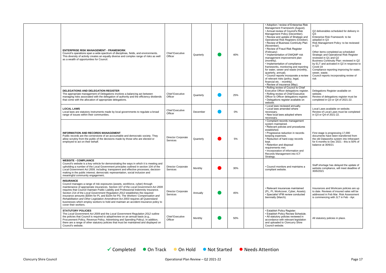| <b>ENTERPRISE RISK MANAGEMENT - FRAMEWORK</b><br>Council's operations span a wide spectrum of disciplines, fields, and environments.<br>This diversity of activity creates an equally diverse and complex range of risks as well<br>as a wealth of opportunities for Council.                                                                                                                                                                                                                                                                                                                                                                           | <b>Chief Executive</b><br>Officer     | Quarterly | 40%   | • Adoption / review of Enterprise Risk<br>Management Framework (August).<br>• Annual review of Council's Risk<br>Management Policy (December).<br>• Review and update of Strategic and<br>Operational Risk Registers (October).<br>• Review of Business Continuity Plan<br>(November).<br>• Review of Fraud Risk Register<br>(February)<br>• Implementation of DWQMP risk<br>management improvement plan<br>(monthly).<br>• Implementation of compliance<br>frameworks, monitoring and reporting<br>for water, sewer and waste (monthly,<br>quarterly, annual).<br>• Council reports incorporate a review<br>of relevant risks (policy, legal,<br>financial etc. - monthly).<br>• Review of insurance (May). | Q2 deliverables scheduled for delivery in<br>$Q3$ :<br>Enterprise Risk Framework: to be<br>adopted in Q3<br>Risk Management Policy: to be reviewed<br>in Q3<br>Other items completed as scheduled:<br>Strategic and Operational Risk Register<br>reviewed in Q1 and Q2<br>Business Continuity Plan: reviewed in Q2<br>by ELT and activated in Q2 in response to<br>Covid-19<br>Compliance reporting improving for water,<br>sewer, waste.<br>Council reports incorporating review of<br>risk |
|---------------------------------------------------------------------------------------------------------------------------------------------------------------------------------------------------------------------------------------------------------------------------------------------------------------------------------------------------------------------------------------------------------------------------------------------------------------------------------------------------------------------------------------------------------------------------------------------------------------------------------------------------------|---------------------------------------|-----------|-------|--------------------------------------------------------------------------------------------------------------------------------------------------------------------------------------------------------------------------------------------------------------------------------------------------------------------------------------------------------------------------------------------------------------------------------------------------------------------------------------------------------------------------------------------------------------------------------------------------------------------------------------------------------------------------------------------------------------|----------------------------------------------------------------------------------------------------------------------------------------------------------------------------------------------------------------------------------------------------------------------------------------------------------------------------------------------------------------------------------------------------------------------------------------------------------------------------------------------|
| <b>DELEGATIONS AND DELEGATION REGISTER</b><br>The appropriate management of Delegations involves a balancing act between<br>managing risks associated with the delegation of authority and the efficiency dividends<br>that come with the allocation of appropriate delegations.                                                                                                                                                                                                                                                                                                                                                                        | <b>Chief Executive</b><br>Officer     | Quarterly | 25%   | • Rolling review of Council to Chief<br>Executive Officer delegations register.<br>• Rolling review of Chief Executive<br>Officer to Officer delegations register.<br>• Delegations register available on<br>website.                                                                                                                                                                                                                                                                                                                                                                                                                                                                                        | Delegations Register available on<br>website.<br>Review of delegations register must be<br>completed in Q3 or Q4 of 2021-22.                                                                                                                                                                                                                                                                                                                                                                 |
| <b>LOCAL LAWS</b><br>Local laws are statutory instruments made by local governments to regulate a broad<br>range of issues within their communities.                                                                                                                                                                                                                                                                                                                                                                                                                                                                                                    | <b>Chief Executive</b><br>Officer     | December  | $0\%$ | • Local laws reviewed annually.<br>• Local laws amended where<br>necessary.<br>• New local laws adopted where<br>necessary.                                                                                                                                                                                                                                                                                                                                                                                                                                                                                                                                                                                  | Local Laws available on website.<br>Review of Local Laws must be completed<br>in Q3 or Q4 of 2021-22.                                                                                                                                                                                                                                                                                                                                                                                        |
| <b>INFORMATION AND RECORDS MANAGEMENT</b><br>Public records are the cornerstone of an accountable and democratic society. They<br>allow scrutiny from the public of the decisions made by those who are elected or<br>employed to act on their behalf.                                                                                                                                                                                                                                                                                                                                                                                                  | <b>Director Corporate</b><br>Services | Quarterly | 5%    | • Compliant records management<br>system maintained.<br>• Relevant policies and procedures<br>established.<br>• Progressive reduction in records-<br>keeping expenses.<br>• Reduction of hard-copy records<br>kept.<br>• Retention and disposal<br>requirements met.<br>• Incorporation of Information and<br>Records Management into ICT<br>Strategy.                                                                                                                                                                                                                                                                                                                                                       | First stage is progressing 17,000<br>documents have been transferred from<br>the old Dataworks system into Infoexpert<br>for 6 months to Dec 2021 - this is 50% of<br>balance at 30/6/21                                                                                                                                                                                                                                                                                                     |
| <b>WEBSITE - COMPLIANCE</b><br>Council's website is a key vehicle for demonstrating the ways in which it is meeting and<br>upholding a number of the Local Government principles outlined in section 104 of the<br>Local Government Act 2009, including: transparent and effective processes; decision-<br>making in the public interest; democratic representation, social inclusion and<br>meaningful community engagement.                                                                                                                                                                                                                           | Director Corporate<br>Services        | Monthly   | 30%   | • Council monitors and maintains a<br>compliant website.                                                                                                                                                                                                                                                                                                                                                                                                                                                                                                                                                                                                                                                     | Staff shortage has delayed the update of<br>website compliance, will meet deadline of<br>30/6/2021                                                                                                                                                                                                                                                                                                                                                                                           |
| <b>INSURANCE</b><br>Council manages a range of risk exposures (assets, workforce, cyber) through<br>maintenance of appropriate insurances. Section 107 of the Local Government Act 2009<br>requires that Council maintain Public Liability and Professional Indemnity Insurance.<br>Section 214 of the Local Government Regulation 2012 establishes the required<br>insurance amounts (\$30m for PL and \$10m for PI). The Workers' Compensation and<br>Rehabilitation and Other Legislation Amendment Act 2003 requires all Queensland<br>businesses which employ workers to hold and maintain an accident insurance policy to<br>cover their workers. | Director Corporate<br>Services        | Annually  | 45%   | • Relevant insurances maintained<br>(PL, PI, Workcover, Cyber, Assets).<br>• Specialist VFM review conducted<br>biennially (March).                                                                                                                                                                                                                                                                                                                                                                                                                                                                                                                                                                          | Insurances and Workcare policies are up<br>to date. Reviews of insured vales will be<br>addressed in Feb Mar. Risk Assessment<br>is commencing with JLT in Feb - Apr.                                                                                                                                                                                                                                                                                                                        |
| <b>STATUTORY POLICIES</b><br>The Local Government Act 2009 and the Local Government Regulation 2012 outline<br>the policies that Council is required to adopt/review on an annual basis (e.g.,<br>Procurement Policy, Revenue Policy, Advertising and Spending Policy). In addition,<br>there are a range of other statutory policies that must be maintained and displayed on<br>Council's website.                                                                                                                                                                                                                                                    | <b>Chief Executive</b><br>Officer     | Monthly   | 50%   | • Establish Policy Register.<br>· Establish Policy Review Schedule.<br>• All statutory policies reviewed in<br>accordance with relevant legislation<br>and uploaded to Cloncurry Shire<br>Council website.                                                                                                                                                                                                                                                                                                                                                                                                                                                                                                   | All statutory policies in place.                                                                                                                                                                                                                                                                                                                                                                                                                                                             |
|                                                                                                                                                                                                                                                                                                                                                                                                                                                                                                                                                                                                                                                         |                                       |           |       |                                                                                                                                                                                                                                                                                                                                                                                                                                                                                                                                                                                                                                                                                                              |                                                                                                                                                                                                                                                                                                                                                                                                                                                                                              |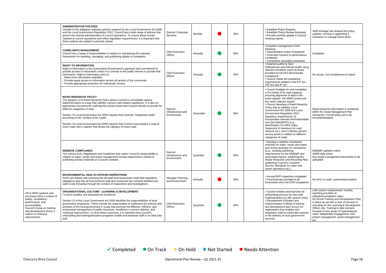|                                                                                                                                                                                                                       | <b>ADMINISTRATIVE POLICIES</b><br>Outside of the obligatory statutory policies required by the Local Government Act 2009<br>and the Local Government Regulation 2012, Council has a wide range of policies that<br>govern the internal administration of Council operations. To ensure these remain<br>relevant to current operations and reflect legislation requirements, it is important that<br>these policies are subject to periodic review.                                                                                                                                                                                                        | Director Corporate<br>Services                       | Monthly   | 30% | • Establish Policy Register.<br>· Establish Policy Review Schedule.<br>• Provide monthly update in Council<br>meeting reports.                                                                                                                                                                                                                                                                                                                                                                                                                                                                                         | Staff shortage has delayed the policy<br>updates, moving to appointing a<br>contractor to manage these tasks.                                                                                                                                                                                                                                                                                            |
|-----------------------------------------------------------------------------------------------------------------------------------------------------------------------------------------------------------------------|-----------------------------------------------------------------------------------------------------------------------------------------------------------------------------------------------------------------------------------------------------------------------------------------------------------------------------------------------------------------------------------------------------------------------------------------------------------------------------------------------------------------------------------------------------------------------------------------------------------------------------------------------------------|------------------------------------------------------|-----------|-----|------------------------------------------------------------------------------------------------------------------------------------------------------------------------------------------------------------------------------------------------------------------------------------------------------------------------------------------------------------------------------------------------------------------------------------------------------------------------------------------------------------------------------------------------------------------------------------------------------------------------|----------------------------------------------------------------------------------------------------------------------------------------------------------------------------------------------------------------------------------------------------------------------------------------------------------------------------------------------------------------------------------------------------------|
|                                                                                                                                                                                                                       | <b>COMPLAINTS MANAGEMENT</b><br>Council has a range of responsibilities in relation to maintaining the required<br>frameworks for handling, managing, and publishing details of complaints                                                                                                                                                                                                                                                                                                                                                                                                                                                                | <b>Chief Executive</b><br>Officer                    | Annually  | 50% | Compliant management of the<br>following:<br>• Administrative Action Complaints<br>• Councillor conduct or performance<br>complaints<br>• Competitive neutrality complaints                                                                                                                                                                                                                                                                                                                                                                                                                                            | Compliant                                                                                                                                                                                                                                                                                                                                                                                                |
|                                                                                                                                                                                                                       | <b>RIGHT TO INFORMATION</b><br>Right to Information is the Queensland Government's approach and commitment to<br>provide access to information unless it is contrary to the public interest to provide that<br>information. Right to Information aims to:<br>- Make more information available;<br>- Provide equal access to information across all sectors of the community<br>- Provide appropriate protection for individuals' privacy.                                                                                                                                                                                                                | <b>Chief Executive</b><br>Officer                    | Annually  | 25% | • External audits by QLD<br>Ombudsman and internal audits using<br>relevant checklists (such as those<br>provided by DILGP) demonstrate<br>compliance;<br>• Council meets all compliance<br>requirements related to the RTI Act,<br>PID Act and IP Act                                                                                                                                                                                                                                                                                                                                                                 | No issues, non-compliances to report                                                                                                                                                                                                                                                                                                                                                                     |
|                                                                                                                                                                                                                       | <b>ROAD HIERARCHY POLICY</b><br>The adoption of a Road Hierarchy Policy allows Council to consolidate various<br>data/information in a way that satisfies various road-related regulations. It is also an<br>appropriate document for outlining the service levels that Council intends to provide for<br>different categories of road.<br>Section 73 Local Government Act 2009 requires that Councils "categorise roads"<br>according to the "surface of the roads".<br>Section 74 Local Government Act 2009 requires that Council must prepare a map of<br>every road; and a register that shows the category of every road.                            | Director<br>Infrastructure and<br>Environment        | November  | 50% | • Council budgets for and completes<br>a full review of its road mapping,<br>ensuring alignment of data in the<br>asset register, the MARS portal and<br>any other relevant system.<br>• Council develops a Road Hierarchy<br>Policy that a) satisfies Local<br>Government Act 2009 and Local<br><b>Government Regulation 2012</b><br>regulatory requirements; b)<br>incorporates relevant information/data<br>from the NWQRRTG (e.g.<br>identification of LRRS roads,<br>Statement of Intentions for road<br>network etc.); and c) defines generic<br>service levels in relation to different<br>categories of roads. | Road Hierarchy information is contained<br>within the Asset Management Plan<br>(transport). Formal policy yet to be<br>reviewed/adopted.                                                                                                                                                                                                                                                                 |
|                                                                                                                                                                                                                       | <b>WEBSITE COMPLIANCE</b><br>The various Acts, Regulations and Guidelines that outline Council's responsibility in<br>relation to water, sewer and waste management include requirements related to<br>publishing certain materials on Council's website.                                                                                                                                                                                                                                                                                                                                                                                                 | <b>Director</b><br>Infrastructure and<br>Environment | Quarterly | 50% | • Develop a website compliance<br>checklist for water, sewer and waste<br>and review quarterly for compliance<br>(e.g., meeting publishing<br>requirements for the DWQMP and<br>associated reports, publishing the<br>Waste Reduction and Recycling Plan,<br>publishing Council's Customer<br>Service Standards for water and<br>sewer operations etc.);                                                                                                                                                                                                                                                               | DWQMP updates online.<br>SWIM data online.<br>Key waste management documents to be<br>uploaded.                                                                                                                                                                                                                                                                                                          |
|                                                                                                                                                                                                                       | <b>ENVIRONMENTAL HEALTH OFFICER INSPECTIONS</b><br>EHOs are tasked with ensuring that all retail food businesses meet their legislative<br>obligations and that all food products sold and consumed are correctly labelled and<br>safe to eat, including through the conduct of inspections and investigations.                                                                                                                                                                                                                                                                                                                                           | Manager Planning<br>and Environment                  | Annually  | 50% | • Annual EHO inspection completed<br>• Food licences provided to all<br>businesses who met EHO compliance                                                                                                                                                                                                                                                                                                                                                                                                                                                                                                              | No EHO on staff, readvertised position                                                                                                                                                                                                                                                                                                                                                                   |
| HR & WHS systems and<br>processes drive a culture of<br>safety, compliance,<br>performance, and<br>accountability.<br>Council's focus on training<br>and development drives a<br>culture of continual<br>improvement. | <b>ORGANISATIONAL CULTURE - LEARNING &amp; DEVELOPMENT</b><br>"Council enables and empowers its workforce"<br>Section 13 of the Local Government Act 2009 identifies the responsibilities of local<br>government employees. These include the responsibility to implement the policies and<br>priorities of the local government in a way that promote the effective, efficient, and<br>economical management of public resources; excellence in service delivery; and<br>continual improvement. To drive these outcomes, it is important that Council's<br>onboarding and training/education programs enable and empower staff to do their jobs<br>well. | <b>Chief Executive</b><br>Officer                    | Quarterly | 50% | • Council reviews and improves its<br>onboarding process for new staff:<br>implementation of LMS system (July)<br>• Development (October) and<br>implementation (rolling) of training<br>and development plan across the<br>organisation that enables and<br>empowers staff to continually improve<br>in the delivery of local government<br>services.                                                                                                                                                                                                                                                                 | LMS system implemented: monthly<br>reporting provided on<br>utilisation/completion rates;<br>No formal Training and Development Plan<br>in place as yet due to lack of success in<br>recruiting for the Learning & Development<br>Officer role. Training to date remains<br>focused on key areas of organisational<br>need: Stakeholder Engagement, GIS,<br>project management, asset management<br>etc. |